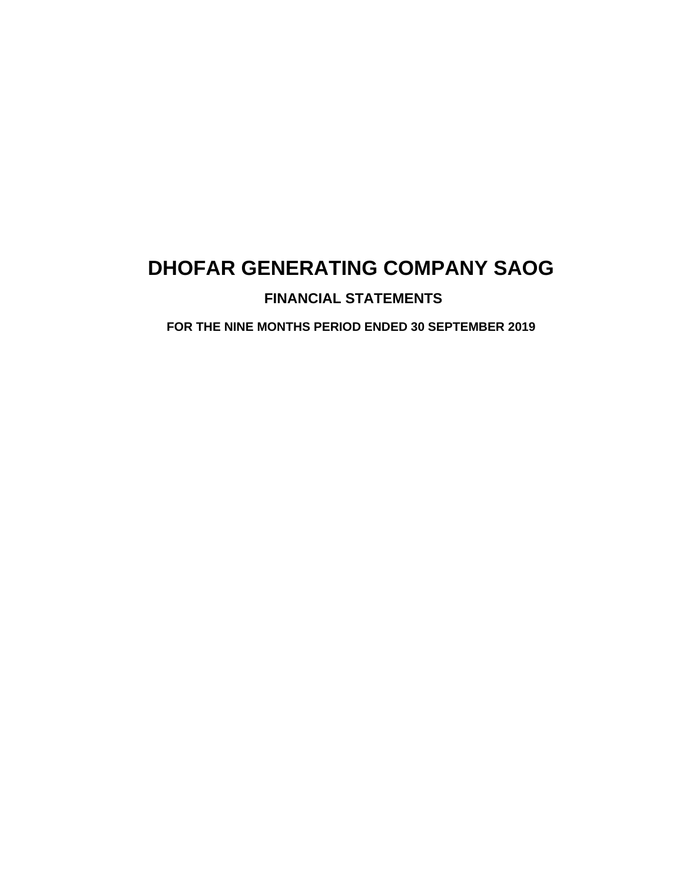# **FINANCIAL STATEMENTS**

**FOR THE NINE MONTHS PERIOD ENDED 30 SEPTEMBER 2019**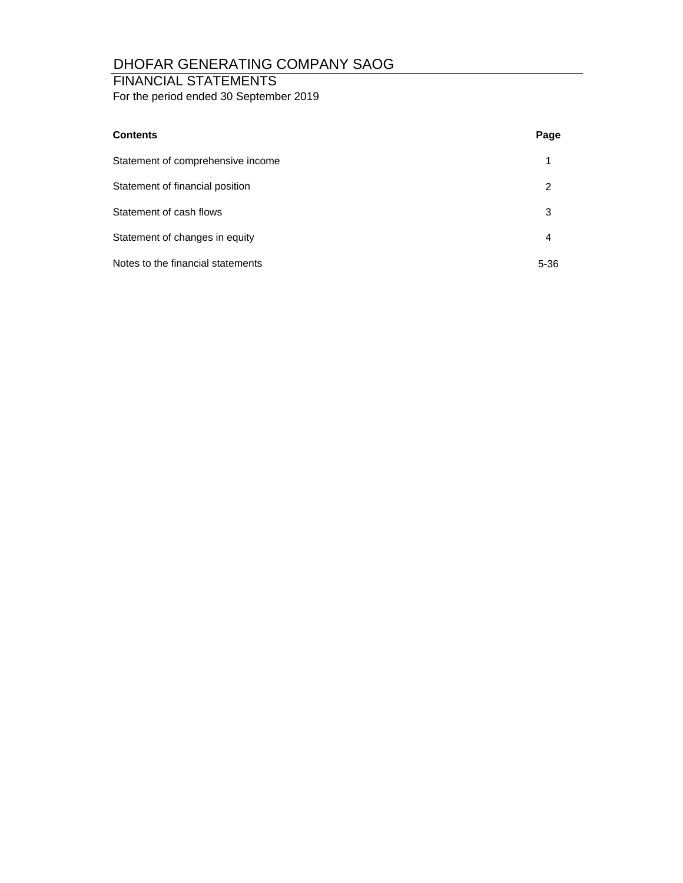# FINANCIAL STATEMENTS

For the period ended 30 September 2019

| <b>Contents</b>                   | Page     |
|-----------------------------------|----------|
| Statement of comprehensive income | 1        |
| Statement of financial position   | 2        |
| Statement of cash flows           | 3        |
| Statement of changes in equity    | 4        |
| Notes to the financial statements | $5 - 36$ |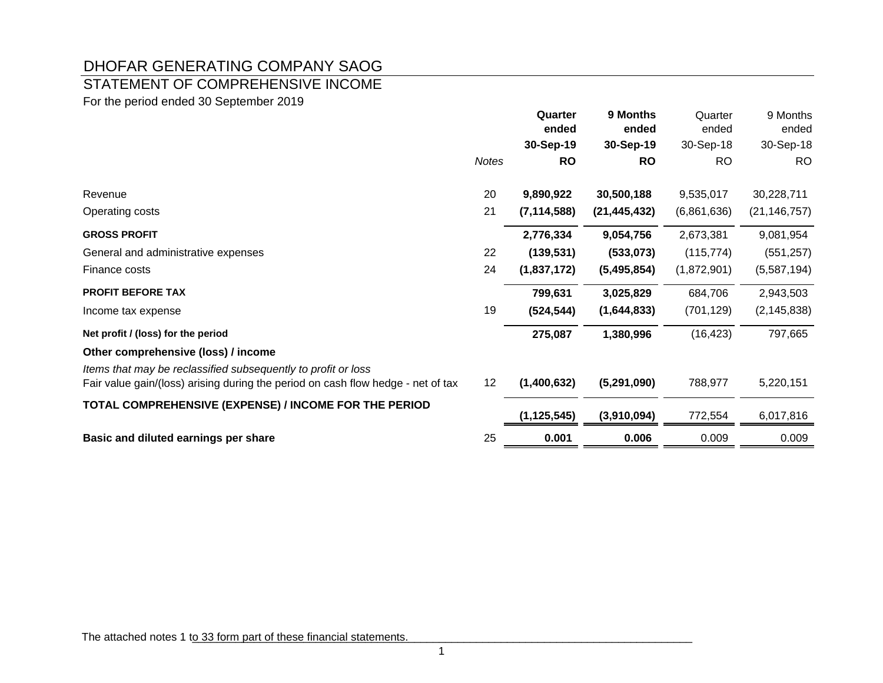# STATEMENT OF COMPREHENSIVE INCOME

For the period ended 30 September 2019

|                                                                                                                                                   |              | Quarter<br>ended | 9 Months<br>ended | Quarter<br>ended | 9 Months<br>ended |
|---------------------------------------------------------------------------------------------------------------------------------------------------|--------------|------------------|-------------------|------------------|-------------------|
|                                                                                                                                                   |              | 30-Sep-19        | 30-Sep-19         | 30-Sep-18        | 30-Sep-18         |
|                                                                                                                                                   | <b>Notes</b> | <b>RO</b>        | <b>RO</b>         | <b>RO</b>        | <b>RO</b>         |
| Revenue                                                                                                                                           | 20           | 9,890,922        | 30,500,188        | 9,535,017        | 30,228,711        |
| Operating costs                                                                                                                                   | 21           | (7, 114, 588)    | (21, 445, 432)    | (6,861,636)      | (21, 146, 757)    |
| <b>GROSS PROFIT</b>                                                                                                                               |              | 2,776,334        | 9,054,756         | 2,673,381        | 9,081,954         |
| General and administrative expenses                                                                                                               | 22           | (139, 531)       | (533,073)         | (115, 774)       | (551, 257)        |
| Finance costs                                                                                                                                     | 24           | (1,837,172)      | (5,495,854)       | (1,872,901)      | (5,587,194)       |
| <b>PROFIT BEFORE TAX</b>                                                                                                                          |              | 799,631          | 3,025,829         | 684,706          | 2,943,503         |
| Income tax expense                                                                                                                                | 19           | (524, 544)       | (1,644,833)       | (701, 129)       | (2, 145, 838)     |
| Net profit / (loss) for the period                                                                                                                |              | 275,087          | 1,380,996         | (16, 423)        | 797,665           |
| Other comprehensive (loss) / income                                                                                                               |              |                  |                   |                  |                   |
| Items that may be reclassified subsequently to profit or loss<br>Fair value gain/(loss) arising during the period on cash flow hedge - net of tax | 12           | (1,400,632)      | (5,291,090)       | 788,977          | 5,220,151         |
| TOTAL COMPREHENSIVE (EXPENSE) / INCOME FOR THE PERIOD                                                                                             |              | (1, 125, 545)    | (3,910,094)       | 772,554          | 6,017,816         |
| Basic and diluted earnings per share                                                                                                              | 25           | 0.001            | 0.006             | 0.009            | 0.009             |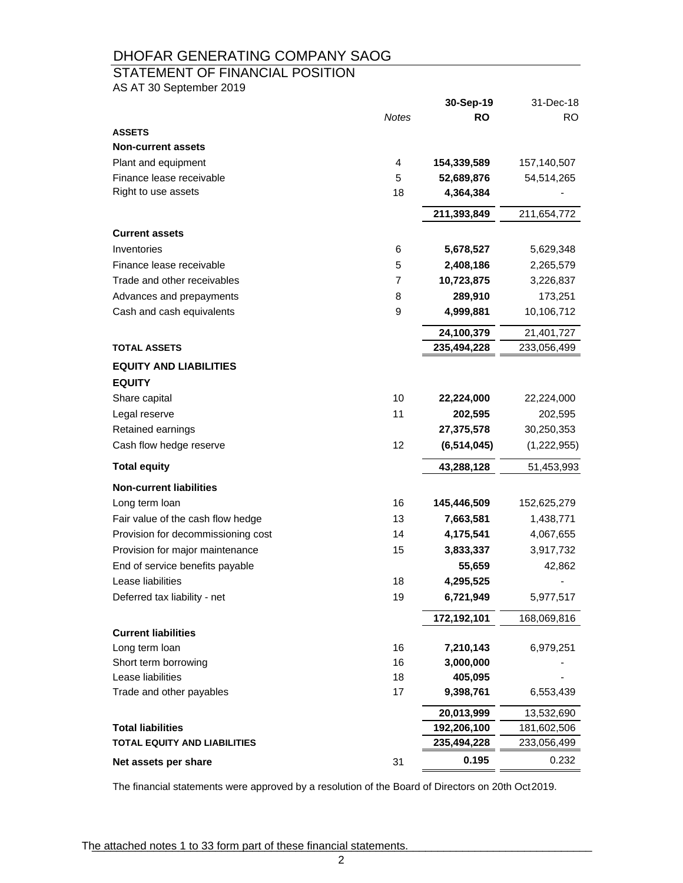# STATEMENT OF FINANCIAL POSITION

AS AT 30 September 2019

|                                                |              | 30-Sep-19     | 31-Dec-18   |
|------------------------------------------------|--------------|---------------|-------------|
|                                                | <b>Notes</b> | <b>RO</b>     | RO.         |
| <b>ASSETS</b>                                  |              |               |             |
| <b>Non-current assets</b>                      |              |               |             |
| Plant and equipment                            | 4            | 154,339,589   | 157,140,507 |
| Finance lease receivable                       | 5            | 52,689,876    | 54,514,265  |
| Right to use assets                            | 18           | 4,364,384     |             |
|                                                |              | 211,393,849   | 211,654,772 |
| <b>Current assets</b>                          |              |               |             |
| Inventories                                    | 6            | 5,678,527     | 5,629,348   |
| Finance lease receivable                       | 5            | 2,408,186     | 2,265,579   |
| Trade and other receivables                    | 7            | 10,723,875    | 3,226,837   |
| Advances and prepayments                       | 8            | 289,910       | 173,251     |
| Cash and cash equivalents                      | 9            | 4,999,881     | 10,106,712  |
|                                                |              | 24,100,379    | 21,401,727  |
| <b>TOTAL ASSETS</b>                            |              | 235,494,228   | 233,056,499 |
|                                                |              |               |             |
| <b>EQUITY AND LIABILITIES</b><br><b>EQUITY</b> |              |               |             |
| Share capital                                  | 10           | 22,224,000    | 22,224,000  |
| Legal reserve                                  | 11           | 202,595       | 202,595     |
| Retained earnings                              |              | 27,375,578    | 30,250,353  |
| Cash flow hedge reserve                        | 12           | (6, 514, 045) | (1,222,955) |
| <b>Total equity</b>                            |              | 43,288,128    | 51,453,993  |
| <b>Non-current liabilities</b>                 |              |               |             |
| Long term loan                                 | 16           | 145,446,509   | 152,625,279 |
| Fair value of the cash flow hedge              | 13           | 7,663,581     | 1,438,771   |
| Provision for decommissioning cost             | 14           | 4,175,541     | 4,067,655   |
| Provision for major maintenance                | 15           | 3,833,337     | 3,917,732   |
| End of service benefits payable                |              | 55,659        | 42,862      |
| Lease liabilities                              | 18           | 4,295,525     |             |
| Deferred tax liability - net                   | 19           | 6,721,949     | 5,977,517   |
|                                                |              | 172,192,101   | 168,069,816 |
| <b>Current liabilities</b>                     |              |               |             |
| Long term loan                                 | 16           | 7,210,143     | 6,979,251   |
| Short term borrowing                           | 16           | 3,000,000     |             |
| Lease liabilities                              | 18           | 405,095       |             |
| Trade and other payables                       | 17           | 9,398,761     | 6,553,439   |
|                                                |              | 20,013,999    | 13,532,690  |
| <b>Total liabilities</b>                       |              | 192,206,100   | 181,602,506 |
| <b>TOTAL EQUITY AND LIABILITIES</b>            |              | 235,494,228   | 233,056,499 |
| Net assets per share                           | 31           | 0.195         | 0.232       |

The financial statements were approved by a resolution of the Board of Directors on 20th Oct 2019.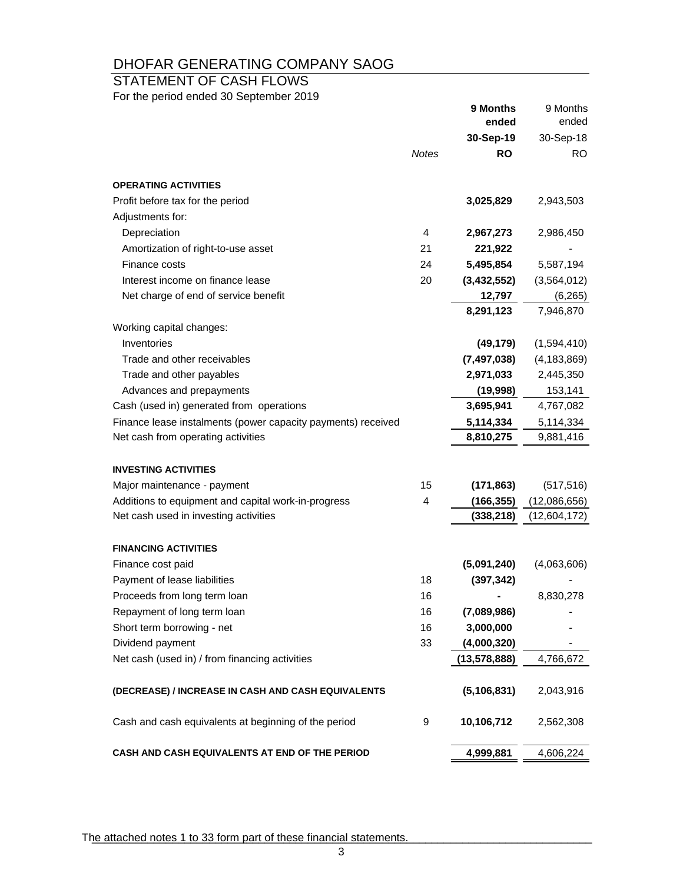# STATEMENT OF CASH FLOWS

For the period ended 30 September 2019

|                                                              |       | 9 Months<br>ended      | 9 Months         |
|--------------------------------------------------------------|-------|------------------------|------------------|
|                                                              |       |                        | ended            |
|                                                              | Notes | 30-Sep-19<br><b>RO</b> | 30-Sep-18<br>RO. |
|                                                              |       |                        |                  |
| <b>OPERATING ACTIVITIES</b>                                  |       |                        |                  |
| Profit before tax for the period                             |       | 3,025,829              | 2,943,503        |
| Adjustments for:                                             |       |                        |                  |
| Depreciation                                                 | 4     | 2,967,273              | 2,986,450        |
| Amortization of right-to-use asset                           | 21    | 221,922                |                  |
| Finance costs                                                | 24    | 5,495,854              | 5,587,194        |
| Interest income on finance lease                             | 20    | (3, 432, 552)          | (3,564,012)      |
| Net charge of end of service benefit                         |       | 12,797                 | (6, 265)         |
|                                                              |       | 8,291,123              | 7,946,870        |
| Working capital changes:                                     |       |                        |                  |
| Inventories                                                  |       | (49, 179)              | (1,594,410)      |
| Trade and other receivables                                  |       | (7, 497, 038)          | (4, 183, 869)    |
| Trade and other payables                                     |       | 2,971,033              | 2,445,350        |
| Advances and prepayments                                     |       | (19,998)               | 153,141          |
| Cash (used in) generated from operations                     |       | 3,695,941              | 4,767,082        |
| Finance lease instalments (power capacity payments) received |       | 5,114,334              | 5,114,334        |
| Net cash from operating activities                           |       | 8,810,275              | 9,881,416        |
| <b>INVESTING ACTIVITIES</b>                                  |       |                        |                  |
| Major maintenance - payment                                  | 15    | (171, 863)             | (517, 516)       |
| Additions to equipment and capital work-in-progress          | 4     | (166, 355)             | (12,086,656)     |
| Net cash used in investing activities                        |       | (338, 218)             | (12,604,172)     |
|                                                              |       |                        |                  |
| <b>FINANCING ACTIVITIES</b>                                  |       |                        |                  |
| Finance cost paid                                            |       | (5,091,240)            | (4,063,606)      |
| Payment of lease liabilities                                 | 18    | (397, 342)             |                  |
| Proceeds from long term loan                                 | 16    |                        | 8,830,278        |
| Repayment of long term loan                                  | 16    | (7,089,986)            |                  |
| Short term borrowing - net                                   | 16    | 3,000,000              |                  |
| Dividend payment                                             | 33    | (4,000,320)            |                  |
| Net cash (used in) / from financing activities               |       | (13, 578, 888)         | 4,766,672        |
| (DECREASE) / INCREASE IN CASH AND CASH EQUIVALENTS           |       | (5, 106, 831)          | 2,043,916        |
| Cash and cash equivalents at beginning of the period         | 9     | 10,106,712             | 2,562,308        |
| CASH AND CASH EQUIVALENTS AT END OF THE PERIOD               |       | 4,999,881              | 4,606,224        |

The attached notes 1 to 33 form part of these financial statements.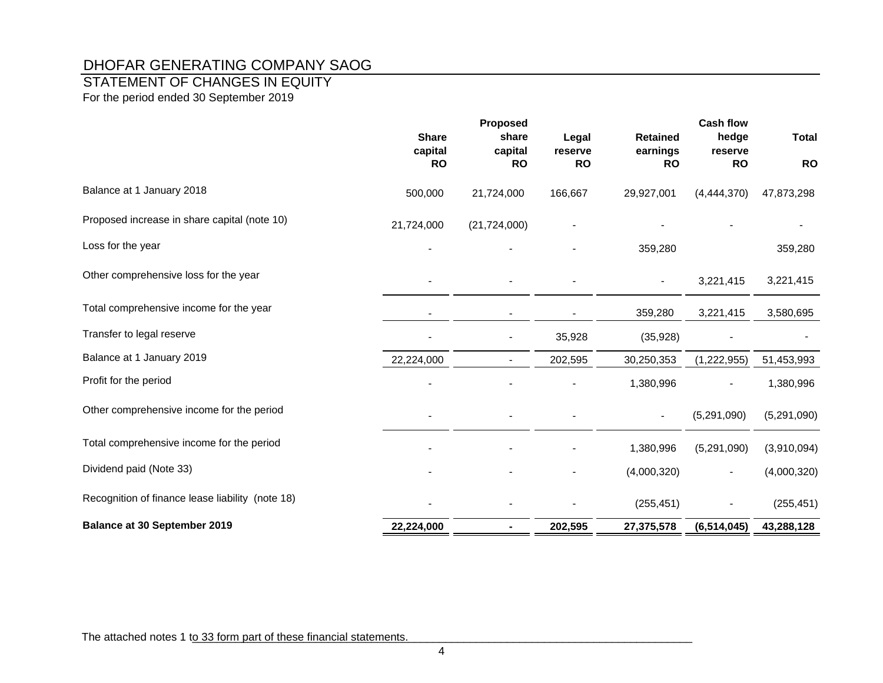# STATEMENT OF CHANGES IN EQUITY

For the period ended 30 September 2019

|                                                  | <b>Share</b><br>capital | Proposed<br>share<br>capital | Legal<br>reserve | <b>Retained</b><br>earnings | <b>Cash flow</b><br>hedge<br>reserve | <b>Total</b> |
|--------------------------------------------------|-------------------------|------------------------------|------------------|-----------------------------|--------------------------------------|--------------|
|                                                  | <b>RO</b>               | <b>RO</b>                    | <b>RO</b>        | <b>RO</b>                   | <b>RO</b>                            | <b>RO</b>    |
| Balance at 1 January 2018                        | 500,000                 | 21,724,000                   | 166,667          | 29,927,001                  | (4,444,370)                          | 47,873,298   |
| Proposed increase in share capital (note 10)     | 21,724,000              | (21, 724, 000)               |                  |                             |                                      |              |
| Loss for the year                                |                         |                              |                  | 359,280                     |                                      | 359,280      |
| Other comprehensive loss for the year            |                         |                              |                  |                             | 3,221,415                            | 3,221,415    |
| Total comprehensive income for the year          |                         |                              |                  | 359,280                     | 3,221,415                            | 3,580,695    |
| Transfer to legal reserve                        |                         | $\blacksquare$               | 35,928           | (35, 928)                   |                                      |              |
| Balance at 1 January 2019                        | 22,224,000              |                              | 202,595          | 30,250,353                  | (1,222,955)                          | 51,453,993   |
| Profit for the period                            |                         |                              |                  | 1,380,996                   |                                      | 1,380,996    |
| Other comprehensive income for the period        |                         |                              |                  |                             | (5,291,090)                          | (5,291,090)  |
| Total comprehensive income for the period        |                         |                              |                  | 1,380,996                   | (5,291,090)                          | (3,910,094)  |
| Dividend paid (Note 33)                          |                         |                              |                  | (4,000,320)                 |                                      | (4,000,320)  |
| Recognition of finance lease liability (note 18) |                         |                              |                  | (255, 451)                  |                                      | (255, 451)   |
| <b>Balance at 30 September 2019</b>              | 22,224,000              | ۰                            | 202,595          | 27,375,578                  | (6, 514, 045)                        | 43,288,128   |

The attached notes 1 to 33 form part of these financial statements.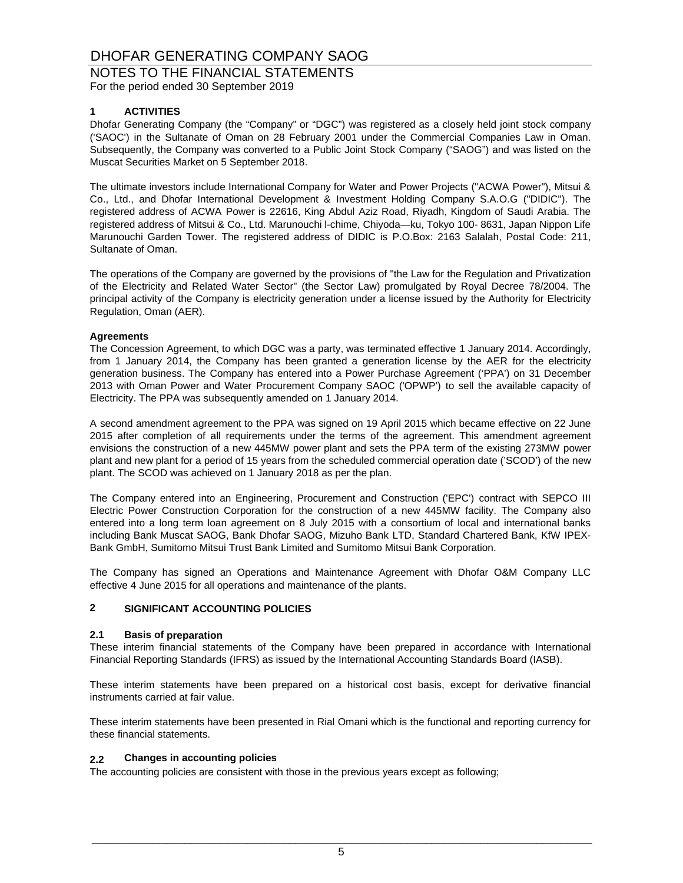NOTES TO THE FINANCIAL STATEMENTS

For the period ended 30 September 2019

#### **1 ACTIVITIES**

Dhofar Generating Company (the "Company" or "DGC") was registered as a closely held joint stock company ('SAOC') in the Sultanate of Oman on 28 February 2001 under the Commercial Companies Law in Oman. Subsequently, the Company was converted to a Public Joint Stock Company ("SAOG") and was listed on the Muscat Securities Market on 5 September 2018.

The ultimate investors include International Company for Water and Power Projects ("ACWA Power"), Mitsui & Co., Ltd., and Dhofar International Development & Investment Holding Company S.A.O.G ("DIDIC"). The registered address of ACWA Power is 22616, King Abdul Aziz Road, Riyadh, Kingdom of Saudi Arabia. The registered address of Mitsui & Co., Ltd. Marunouchi l-chime, Chiyoda—ku, Tokyo 100- 8631, Japan Nippon Life Marunouchi Garden Tower. The registered address of DIDIC is P.O.Box: 2163 Salalah, Postal Code: 211, Sultanate of Oman.

The operations of the Company are governed by the provisions of "the Law for the Regulation and Privatization of the Electricity and Related Water Sector" (the Sector Law) promulgated by Royal Decree 78/2004. The principal activity of the Company is electricity generation under a license issued by the Authority for Electricity Regulation, Oman (AER).

#### **Agreements**

The Concession Agreement, to which DGC was a party, was terminated effective 1 January 2014. Accordingly, from 1 January 2014, the Company has been granted a generation license by the AER for the electricity generation business. The Company has entered into a Power Purchase Agreement ('PPA') on 31 December 2013 with Oman Power and Water Procurement Company SAOC ('OPWP') to sell the available capacity of Electricity. The PPA was subsequently amended on 1 January 2014.

A second amendment agreement to the PPA was signed on 19 April 2015 which became effective on 22 June 2015 after completion of all requirements under the terms of the agreement. This amendment agreement envisions the construction of a new 445MW power plant and sets the PPA term of the existing 273MW power plant and new plant for a period of 15 years from the scheduled commercial operation date ('SCOD') of the new plant. The SCOD was achieved on 1 January 2018 as per the plan.

The Company entered into an Engineering, Procurement and Construction ('EPC') contract with SEPCO III Electric Power Construction Corporation for the construction of a new 445MW facility. The Company also entered into a long term loan agreement on 8 July 2015 with a consortium of local and international banks including Bank Muscat SAOG, Bank Dhofar SAOG, Mizuho Bank LTD, Standard Chartered Bank, KfW IPEX-Bank GmbH, Sumitomo Mitsui Trust Bank Limited and Sumitomo Mitsui Bank Corporation.

The Company has signed an Operations and Maintenance Agreement with Dhofar O&M Company LLC effective 4 June 2015 for all operations and maintenance of the plants.

### **2 SIGNIFICANT ACCOUNTING POLICIES**

#### **2.1 Basis of preparation**

These interim financial statements of the Company have been prepared in accordance with International Financial Reporting Standards (IFRS) as issued by the International Accounting Standards Board (IASB).

These interim statements have been prepared on a historical cost basis, except for derivative financial instruments carried at fair value.

These interim statements have been presented in Rial Omani which is the functional and reporting currency for these financial statements.

#### **2.2 Changes in accounting policies**

The accounting policies are consistent with those in the previous years except as following;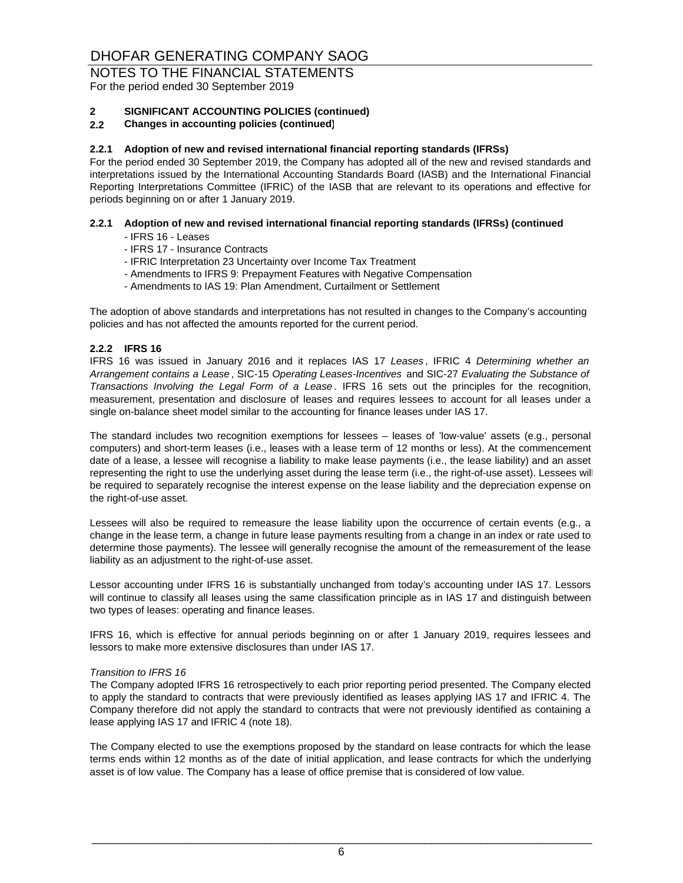For the period ended 30 September 2019

#### **2 SIGNIFICANT ACCOUNTING POLICIES (continued)**

#### **2.2 Changes in accounting policies (continued)**

#### **2.2.1 Adoption of new and revised international financial reporting standards (IFRSs)**

For the period ended 30 September 2019, the Company has adopted all of the new and revised standards and interpretations issued by the International Accounting Standards Board (IASB) and the International Financial Reporting Interpretations Committee (IFRIC) of the IASB that are relevant to its operations and effective for periods beginning on or after 1 January 2019.

### **2.2.1 Adoption of new and revised international financial reporting standards (IFRSs) (continued**

- IFRS 16 Leases
- IFRS 17 Insurance Contracts
- IFRIC Interpretation 23 Uncertainty over Income Tax Treatment
- Amendments to IFRS 9: Prepayment Features with Negative Compensation
- Amendments to IAS 19: Plan Amendment, Curtailment or Settlement

The adoption of above standards and interpretations has not resulted in changes to the Company's accounting policies and has not affected the amounts reported for the current period.

#### **2.2.2 IFRS 16**

IFRS 16 was issued in January 2016 and it replaces IAS 17 *Leases* , IFRIC 4 *Determining whether an Arrangement contains a Lease* , SIC-15 *Operating Leases-Incentives* and SIC-27 *Evaluating the Substance of Transactions Involving the Legal Form of a Lease* . IFRS 16 sets out the principles for the recognition, measurement, presentation and disclosure of leases and requires lessees to account for all leases under a single on-balance sheet model similar to the accounting for finance leases under IAS 17.

The standard includes two recognition exemptions for lessees – leases of 'low-value' assets (e.g., personal computers) and short-term leases (i.e., leases with a lease term of 12 months or less). At the commencement date of a lease, a lessee will recognise a liability to make lease payments (i.e., the lease liability) and an asset representing the right to use the underlying asset during the lease term (i.e., the right-of-use asset). Lessees will be required to separately recognise the interest expense on the lease liability and the depreciation expense on the right-of-use asset.

Lessees will also be required to remeasure the lease liability upon the occurrence of certain events (e.g., a change in the lease term, a change in future lease payments resulting from a change in an index or rate used to determine those payments). The lessee will generally recognise the amount of the remeasurement of the lease liability as an adjustment to the right-of-use asset.

Lessor accounting under IFRS 16 is substantially unchanged from today's accounting under IAS 17. Lessors will continue to classify all leases using the same classification principle as in IAS 17 and distinguish between two types of leases: operating and finance leases.

IFRS 16, which is effective for annual periods beginning on or after 1 January 2019, requires lessees and lessors to make more extensive disclosures than under IAS 17.

#### *Transition to IFRS 16*

The Company adopted IFRS 16 retrospectively to each prior reporting period presented. The Company elected to apply the standard to contracts that were previously identified as leases applying IAS 17 and IFRIC 4. The Company therefore did not apply the standard to contracts that were not previously identified as containing a lease applying IAS 17 and IFRIC 4 (note 18).

The Company elected to use the exemptions proposed by the standard on lease contracts for which the lease terms ends within 12 months as of the date of initial application, and lease contracts for which the underlying asset is of low value. The Company has a lease of office premise that is considered of low value.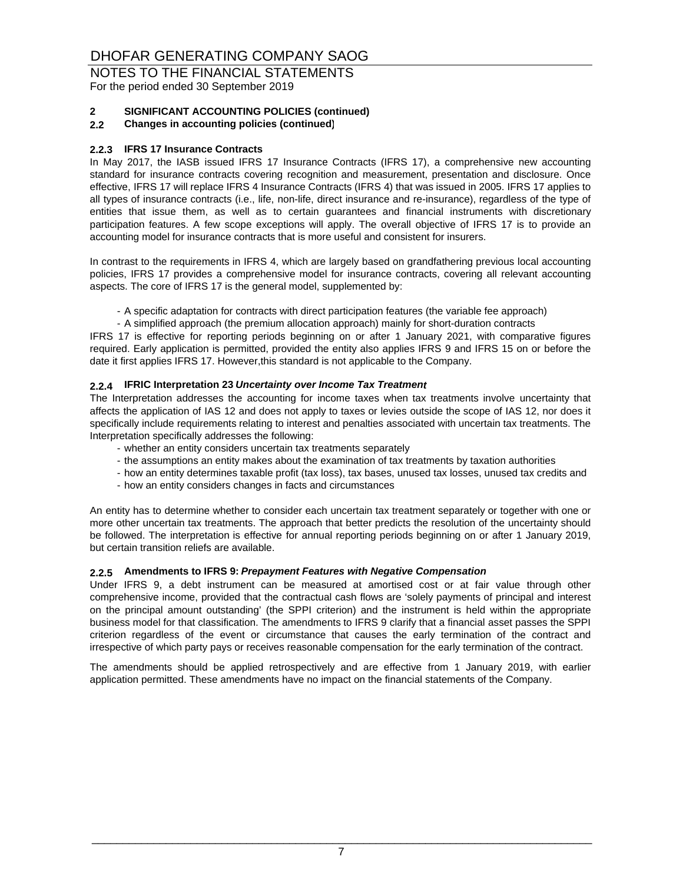# NOTES TO THE FINANCIAL STATEMENTS

For the period ended 30 September 2019

### **2 SIGNIFICANT ACCOUNTING POLICIES (continued)**

**2.2 Changes in accounting policies (continued)**

#### **2.2.3 IFRS 17 Insurance Contracts**

In May 2017, the IASB issued IFRS 17 Insurance Contracts (IFRS 17), a comprehensive new accounting standard for insurance contracts covering recognition and measurement, presentation and disclosure. Once effective, IFRS 17 will replace IFRS 4 Insurance Contracts (IFRS 4) that was issued in 2005. IFRS 17 applies to all types of insurance contracts (i.e., life, non-life, direct insurance and re-insurance), regardless of the type of entities that issue them, as well as to certain guarantees and financial instruments with discretionary participation features. A few scope exceptions will apply. The overall objective of IFRS 17 is to provide an accounting model for insurance contracts that is more useful and consistent for insurers.

In contrast to the requirements in IFRS 4, which are largely based on grandfathering previous local accounting policies, IFRS 17 provides a comprehensive model for insurance contracts, covering all relevant accounting aspects. The core of IFRS 17 is the general model, supplemented by:

- A specific adaptation for contracts with direct participation features (the variable fee approach)

- A simplified approach (the premium allocation approach) mainly for short-duration contracts

IFRS 17 is effective for reporting periods beginning on or after 1 January 2021, with comparative figures required. Early application is permitted, provided the entity also applies IFRS 9 and IFRS 15 on or before the date it first applies IFRS 17. However,this standard is not applicable to the Company.

#### **2.2.4 IFRIC Interpretation 23** *Uncertainty over Income Tax Treatment*

The Interpretation addresses the accounting for income taxes when tax treatments involve uncertainty that affects the application of IAS 12 and does not apply to taxes or levies outside the scope of IAS 12, nor does it specifically include requirements relating to interest and penalties associated with uncertain tax treatments. The Interpretation specifically addresses the following:

- whether an entity considers uncertain tax treatments separately
- the assumptions an entity makes about the examination of tax treatments by taxation authorities
- how an entity determines taxable profit (tax loss), tax bases, unused tax losses, unused tax credits and
- how an entity considers changes in facts and circumstances

An entity has to determine whether to consider each uncertain tax treatment separately or together with one or more other uncertain tax treatments. The approach that better predicts the resolution of the uncertainty should be followed. The interpretation is effective for annual reporting periods beginning on or after 1 January 2019, but certain transition reliefs are available.

#### **2.2.5 Amendments to IFRS 9:** *Prepayment Features with Negative Compensation*

Under IFRS 9, a debt instrument can be measured at amortised cost or at fair value through other comprehensive income, provided that the contractual cash flows are 'solely payments of principal and interest on the principal amount outstanding' (the SPPI criterion) and the instrument is held within the appropriate business model for that classification. The amendments to IFRS 9 clarify that a financial asset passes the SPPI criterion regardless of the event or circumstance that causes the early termination of the contract and irrespective of which party pays or receives reasonable compensation for the early termination of the contract.

The amendments should be applied retrospectively and are effective from 1 January 2019, with earlier application permitted. These amendments have no impact on the financial statements of the Company.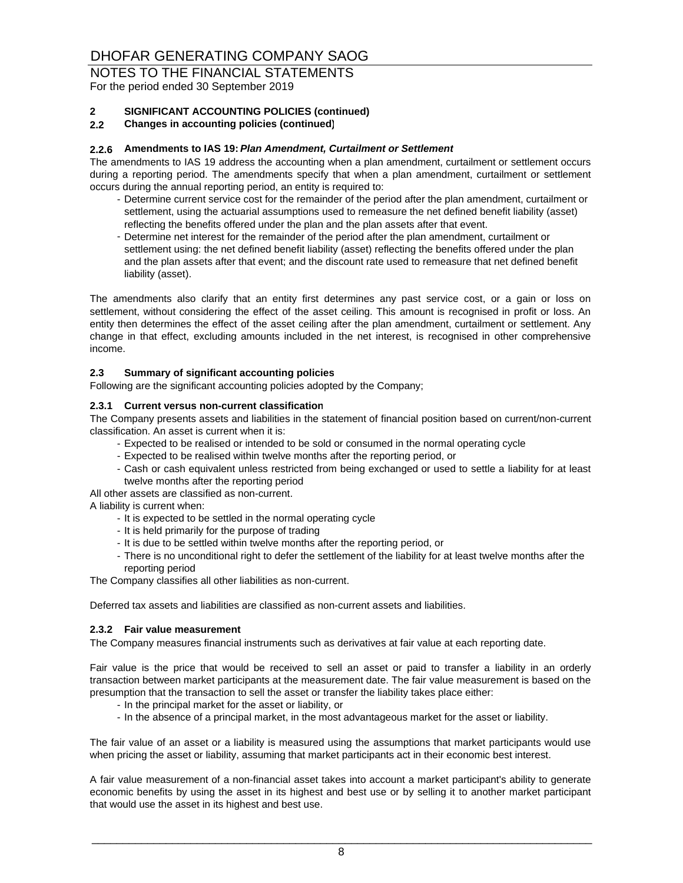For the period ended 30 September 2019

#### **2 SIGNIFICANT ACCOUNTING POLICIES (continued)**

#### **2.2 Changes in accounting policies (continued)**

#### **2.2.6 Amendments to IAS 19:** *Plan Amendment, Curtailment or Settlement*

The amendments to IAS 19 address the accounting when a plan amendment, curtailment or settlement occurs during a reporting period. The amendments specify that when a plan amendment, curtailment or settlement occurs during the annual reporting period, an entity is required to:

- Determine current service cost for the remainder of the period after the plan amendment, curtailment or settlement, using the actuarial assumptions used to remeasure the net defined benefit liability (asset) reflecting the benefits offered under the plan and the plan assets after that event.
- Determine net interest for the remainder of the period after the plan amendment, curtailment or settlement using: the net defined benefit liability (asset) reflecting the benefits offered under the plan and the plan assets after that event; and the discount rate used to remeasure that net defined benefit liability (asset).

The amendments also clarify that an entity first determines any past service cost, or a gain or loss on settlement, without considering the effect of the asset ceiling. This amount is recognised in profit or loss. An entity then determines the effect of the asset ceiling after the plan amendment, curtailment or settlement. Any change in that effect, excluding amounts included in the net interest, is recognised in other comprehensive income.

#### **2.3 Summary of significant accounting policies**

Following are the significant accounting policies adopted by the Company;

#### **2.3.1 Current versus non-current classification**

The Company presents assets and liabilities in the statement of financial position based on current/non-current classification. An asset is current when it is:

- Expected to be realised or intended to be sold or consumed in the normal operating cycle
- Expected to be realised within twelve months after the reporting period, or
- Cash or cash equivalent unless restricted from being exchanged or used to settle a liability for at least twelve months after the reporting period

All other assets are classified as non-current.

A liability is current when:

- It is expected to be settled in the normal operating cycle
- It is held primarily for the purpose of trading
- It is due to be settled within twelve months after the reporting period, or
- There is no unconditional right to defer the settlement of the liability for at least twelve months after the reporting period

The Company classifies all other liabilities as non-current.

Deferred tax assets and liabilities are classified as non-current assets and liabilities.

#### **2.3.2 Fair value measurement**

The Company measures financial instruments such as derivatives at fair value at each reporting date.

Fair value is the price that would be received to sell an asset or paid to transfer a liability in an orderly transaction between market participants at the measurement date. The fair value measurement is based on the presumption that the transaction to sell the asset or transfer the liability takes place either:

- In the principal market for the asset or liability, or
- In the absence of a principal market, in the most advantageous market for the asset or liability.

The fair value of an asset or a liability is measured using the assumptions that market participants would use when pricing the asset or liability, assuming that market participants act in their economic best interest.

A fair value measurement of a non-financial asset takes into account a market participant's ability to generate economic benefits by using the asset in its highest and best use or by selling it to another market participant that would use the asset in its highest and best use.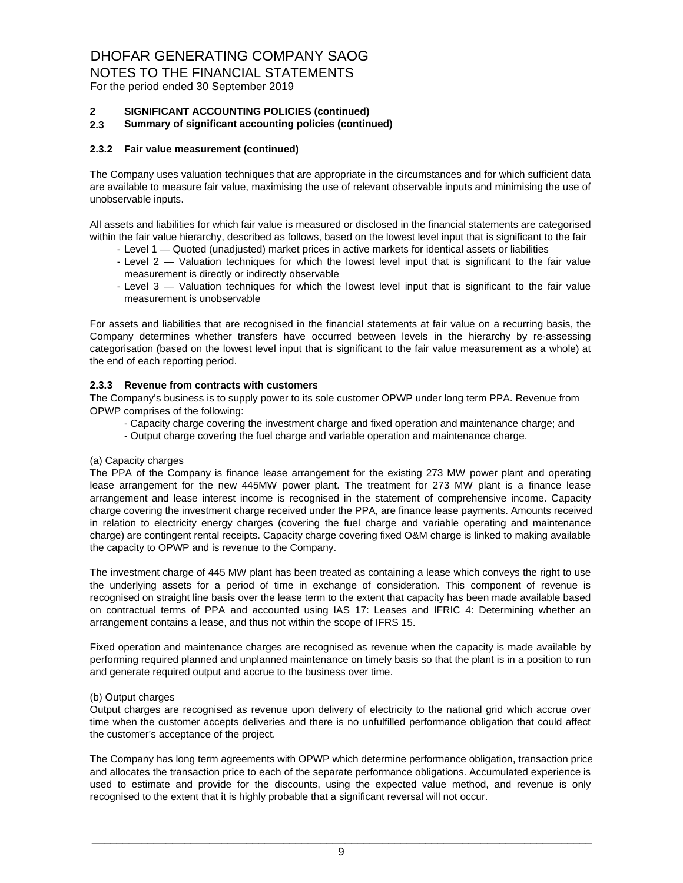For the period ended 30 September 2019

#### **2 SIGNIFICANT ACCOUNTING POLICIES (continued)**

#### **2.3 Summary of significant accounting policies (continued)**

#### **2.3.2 Fair value measurement (continued)**

The Company uses valuation techniques that are appropriate in the circumstances and for which sufficient data are available to measure fair value, maximising the use of relevant observable inputs and minimising the use of unobservable inputs.

All assets and liabilities for which fair value is measured or disclosed in the financial statements are categorised within the fair value hierarchy, described as follows, based on the lowest level input that is significant to the fair

- Level 1 Quoted (unadjusted) market prices in active markets for identical assets or liabilities
- Level 2 Valuation techniques for which the lowest level input that is significant to the fair value measurement is directly or indirectly observable
- Level 3 Valuation techniques for which the lowest level input that is significant to the fair value measurement is unobservable

For assets and liabilities that are recognised in the financial statements at fair value on a recurring basis, the Company determines whether transfers have occurred between levels in the hierarchy by re-assessing categorisation (based on the lowest level input that is significant to the fair value measurement as a whole) at the end of each reporting period.

#### **2.3.3 Revenue from contracts with customers**

The Company's business is to supply power to its sole customer OPWP under long term PPA. Revenue from OPWP comprises of the following:

- Capacity charge covering the investment charge and fixed operation and maintenance charge; and
- Output charge covering the fuel charge and variable operation and maintenance charge.

#### (a) Capacity charges

The PPA of the Company is finance lease arrangement for the existing 273 MW power plant and operating lease arrangement for the new 445MW power plant. The treatment for 273 MW plant is a finance lease arrangement and lease interest income is recognised in the statement of comprehensive income. Capacity charge covering the investment charge received under the PPA, are finance lease payments. Amounts received in relation to electricity energy charges (covering the fuel charge and variable operating and maintenance charge) are contingent rental receipts. Capacity charge covering fixed O&M charge is linked to making available the capacity to OPWP and is revenue to the Company.

The investment charge of 445 MW plant has been treated as containing a lease which conveys the right to use the underlying assets for a period of time in exchange of consideration. This component of revenue is recognised on straight line basis over the lease term to the extent that capacity has been made available based on contractual terms of PPA and accounted using IAS 17: Leases and IFRIC 4: Determining whether an arrangement contains a lease, and thus not within the scope of IFRS 15.

Fixed operation and maintenance charges are recognised as revenue when the capacity is made available by performing required planned and unplanned maintenance on timely basis so that the plant is in a position to run and generate required output and accrue to the business over time.

#### (b) Output charges

Output charges are recognised as revenue upon delivery of electricity to the national grid which accrue over time when the customer accepts deliveries and there is no unfulfilled performance obligation that could affect the customer's acceptance of the project.

The Company has long term agreements with OPWP which determine performance obligation, transaction price and allocates the transaction price to each of the separate performance obligations. Accumulated experience is used to estimate and provide for the discounts, using the expected value method, and revenue is only recognised to the extent that it is highly probable that a significant reversal will not occur.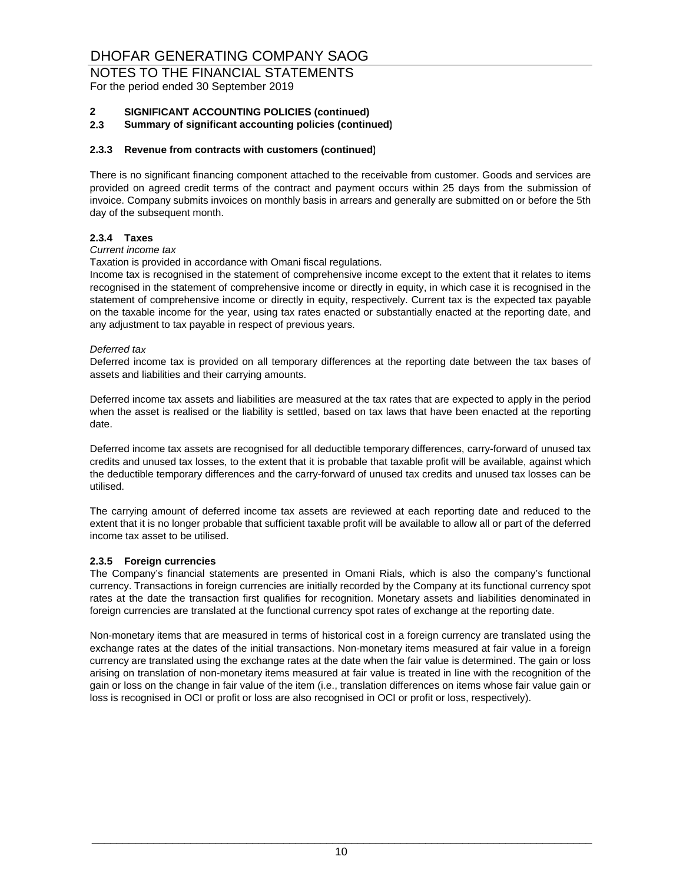For the period ended 30 September 2019

#### **2 SIGNIFICANT ACCOUNTING POLICIES (continued)**

**2.3 Summary of significant accounting policies (continued)**

#### **2.3.3 Revenue from contracts with customers (continued)**

There is no significant financing component attached to the receivable from customer. Goods and services are provided on agreed credit terms of the contract and payment occurs within 25 days from the submission of invoice. Company submits invoices on monthly basis in arrears and generally are submitted on or before the 5th day of the subsequent month.

#### **2.3.4 Taxes**

#### *Current income tax*

Taxation is provided in accordance with Omani fiscal regulations.

Income tax is recognised in the statement of comprehensive income except to the extent that it relates to items recognised in the statement of comprehensive income or directly in equity, in which case it is recognised in the statement of comprehensive income or directly in equity, respectively. Current tax is the expected tax payable on the taxable income for the year, using tax rates enacted or substantially enacted at the reporting date, and any adjustment to tax payable in respect of previous years.

#### *Deferred tax*

Deferred income tax is provided on all temporary differences at the reporting date between the tax bases of assets and liabilities and their carrying amounts.

Deferred income tax assets and liabilities are measured at the tax rates that are expected to apply in the period when the asset is realised or the liability is settled, based on tax laws that have been enacted at the reporting date.

Deferred income tax assets are recognised for all deductible temporary differences, carry-forward of unused tax credits and unused tax losses, to the extent that it is probable that taxable profit will be available, against which the deductible temporary differences and the carry-forward of unused tax credits and unused tax losses can be utilised.

The carrying amount of deferred income tax assets are reviewed at each reporting date and reduced to the extent that it is no longer probable that sufficient taxable profit will be available to allow all or part of the deferred income tax asset to be utilised.

#### **2.3.5 Foreign currencies**

The Company's financial statements are presented in Omani Rials, which is also the company's functional currency. Transactions in foreign currencies are initially recorded by the Company at its functional currency spot rates at the date the transaction first qualifies for recognition. Monetary assets and liabilities denominated in foreign currencies are translated at the functional currency spot rates of exchange at the reporting date.

Non-monetary items that are measured in terms of historical cost in a foreign currency are translated using the exchange rates at the dates of the initial transactions. Non-monetary items measured at fair value in a foreign currency are translated using the exchange rates at the date when the fair value is determined. The gain or loss arising on translation of non-monetary items measured at fair value is treated in line with the recognition of the gain or loss on the change in fair value of the item (i.e., translation differences on items whose fair value gain or loss is recognised in OCI or profit or loss are also recognised in OCI or profit or loss, respectively).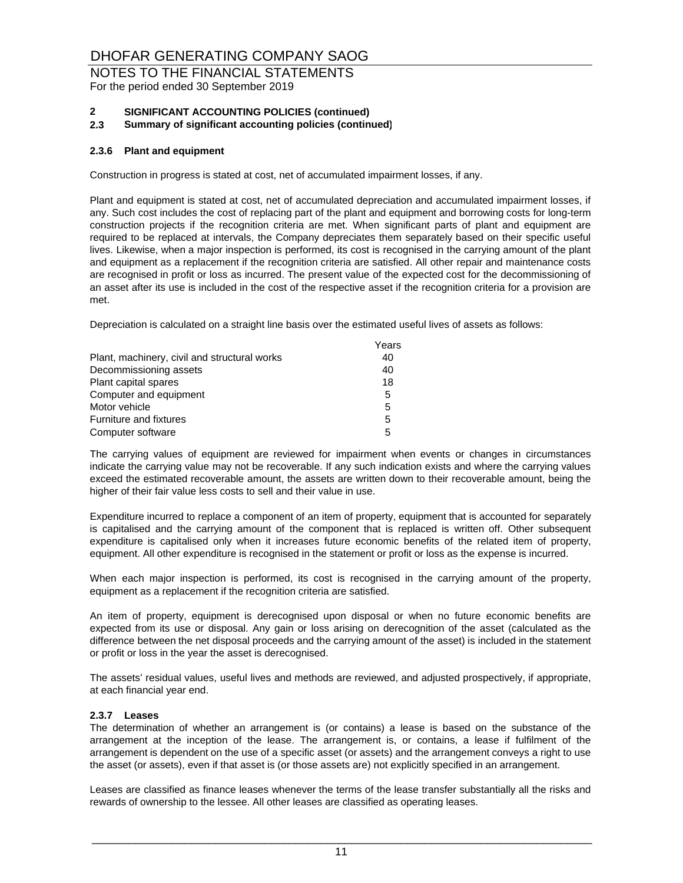For the period ended 30 September 2019

#### **2 SIGNIFICANT ACCOUNTING POLICIES (continued)**

**2.3 Summary of significant accounting policies (continued)**

#### **2.3.6 Plant and equipment**

Construction in progress is stated at cost, net of accumulated impairment losses, if any.

Plant and equipment is stated at cost, net of accumulated depreciation and accumulated impairment losses, if any. Such cost includes the cost of replacing part of the plant and equipment and borrowing costs for long-term construction projects if the recognition criteria are met. When significant parts of plant and equipment are required to be replaced at intervals, the Company depreciates them separately based on their specific useful lives. Likewise, when a major inspection is performed, its cost is recognised in the carrying amount of the plant and equipment as a replacement if the recognition criteria are satisfied. All other repair and maintenance costs are recognised in profit or loss as incurred. The present value of the expected cost for the decommissioning of an asset after its use is included in the cost of the respective asset if the recognition criteria for a provision are met.

Depreciation is calculated on a straight line basis over the estimated useful lives of assets as follows:

|                                              | Years |
|----------------------------------------------|-------|
| Plant, machinery, civil and structural works | 40    |
| Decommissioning assets                       | 40    |
| Plant capital spares                         | 18    |
| Computer and equipment                       | 5     |
| Motor vehicle                                | 5     |
| Furniture and fixtures                       | 5     |
| Computer software                            | 5     |

The carrying values of equipment are reviewed for impairment when events or changes in circumstances indicate the carrying value may not be recoverable. If any such indication exists and where the carrying values exceed the estimated recoverable amount, the assets are written down to their recoverable amount, being the higher of their fair value less costs to sell and their value in use.

Expenditure incurred to replace a component of an item of property, equipment that is accounted for separately is capitalised and the carrying amount of the component that is replaced is written off. Other subsequent expenditure is capitalised only when it increases future economic benefits of the related item of property, equipment. All other expenditure is recognised in the statement or profit or loss as the expense is incurred.

When each major inspection is performed, its cost is recognised in the carrying amount of the property, equipment as a replacement if the recognition criteria are satisfied.

An item of property, equipment is derecognised upon disposal or when no future economic benefits are expected from its use or disposal. Any gain or loss arising on derecognition of the asset (calculated as the difference between the net disposal proceeds and the carrying amount of the asset) is included in the statement or profit or loss in the year the asset is derecognised.

The assets' residual values, useful lives and methods are reviewed, and adjusted prospectively, if appropriate, at each financial year end.

#### **2.3.7 Leases**

The determination of whether an arrangement is (or contains) a lease is based on the substance of the arrangement at the inception of the lease. The arrangement is, or contains, a lease if fulfilment of the arrangement is dependent on the use of a specific asset (or assets) and the arrangement conveys a right to use the asset (or assets), even if that asset is (or those assets are) not explicitly specified in an arrangement.

Leases are classified as finance leases whenever the terms of the lease transfer substantially all the risks and rewards of ownership to the lessee. All other leases are classified as operating leases.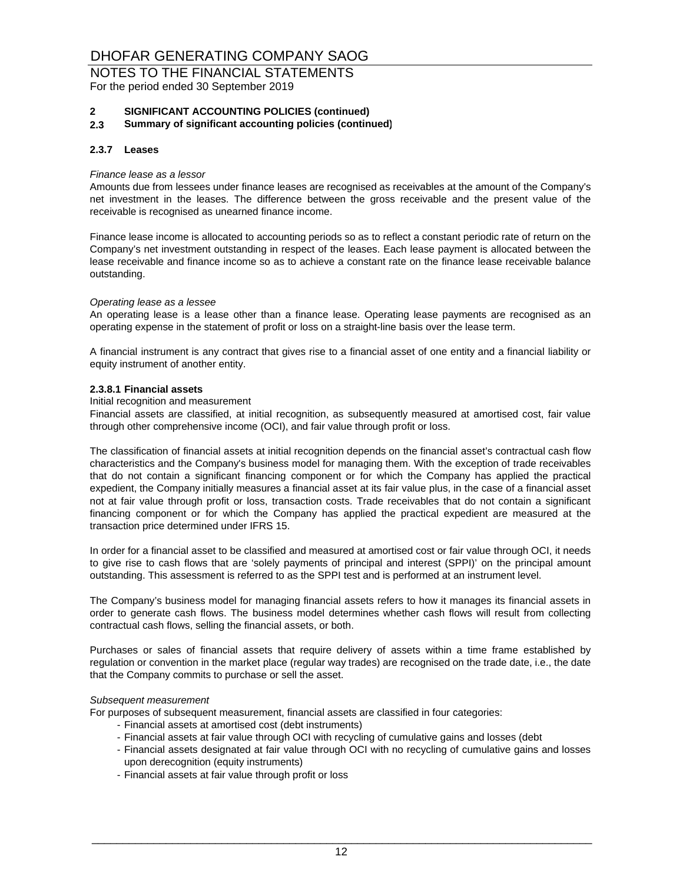For the period ended 30 September 2019

#### **2 SIGNIFICANT ACCOUNTING POLICIES (continued)**

**2.3 Summary of significant accounting policies (continued)**

#### **2.3.7 Leases**

#### *Finance lease as a lessor*

Amounts due from lessees under finance leases are recognised as receivables at the amount of the Company's net investment in the leases. The difference between the gross receivable and the present value of the receivable is recognised as unearned finance income.

Finance lease income is allocated to accounting periods so as to reflect a constant periodic rate of return on the Company's net investment outstanding in respect of the leases. Each lease payment is allocated between the lease receivable and finance income so as to achieve a constant rate on the finance lease receivable balance outstanding.

#### *Operating lease as a lessee*

An operating lease is a lease other than a finance lease. Operating lease payments are recognised as an operating expense in the statement of profit or loss on a straight-line basis over the lease term.

A financial instrument is any contract that gives rise to a financial asset of one entity and a financial liability or equity instrument of another entity.

#### **2.3.8.1 Financial assets**

#### Initial recognition and measurement

Financial assets are classified, at initial recognition, as subsequently measured at amortised cost, fair value through other comprehensive income (OCI), and fair value through profit or loss.

The classification of financial assets at initial recognition depends on the financial asset's contractual cash flow characteristics and the Company's business model for managing them. With the exception of trade receivables that do not contain a significant financing component or for which the Company has applied the practical expedient, the Company initially measures a financial asset at its fair value plus, in the case of a financial asset not at fair value through profit or loss, transaction costs. Trade receivables that do not contain a significant financing component or for which the Company has applied the practical expedient are measured at the transaction price determined under IFRS 15.

In order for a financial asset to be classified and measured at amortised cost or fair value through OCI, it needs to give rise to cash flows that are 'solely payments of principal and interest (SPPI)' on the principal amount outstanding. This assessment is referred to as the SPPI test and is performed at an instrument level.

The Company's business model for managing financial assets refers to how it manages its financial assets in order to generate cash flows. The business model determines whether cash flows will result from collecting contractual cash flows, selling the financial assets, or both.

Purchases or sales of financial assets that require delivery of assets within a time frame established by regulation or convention in the market place (regular way trades) are recognised on the trade date, i.e., the date that the Company commits to purchase or sell the asset.

#### *Subsequent measurement*

For purposes of subsequent measurement, financial assets are classified in four categories:

- Financial assets at amortised cost (debt instruments)
- Financial assets at fair value through OCI with recycling of cumulative gains and losses (debt
- Financial assets designated at fair value through OCI with no recycling of cumulative gains and losses upon derecognition (equity instruments)
- Financial assets at fair value through profit or loss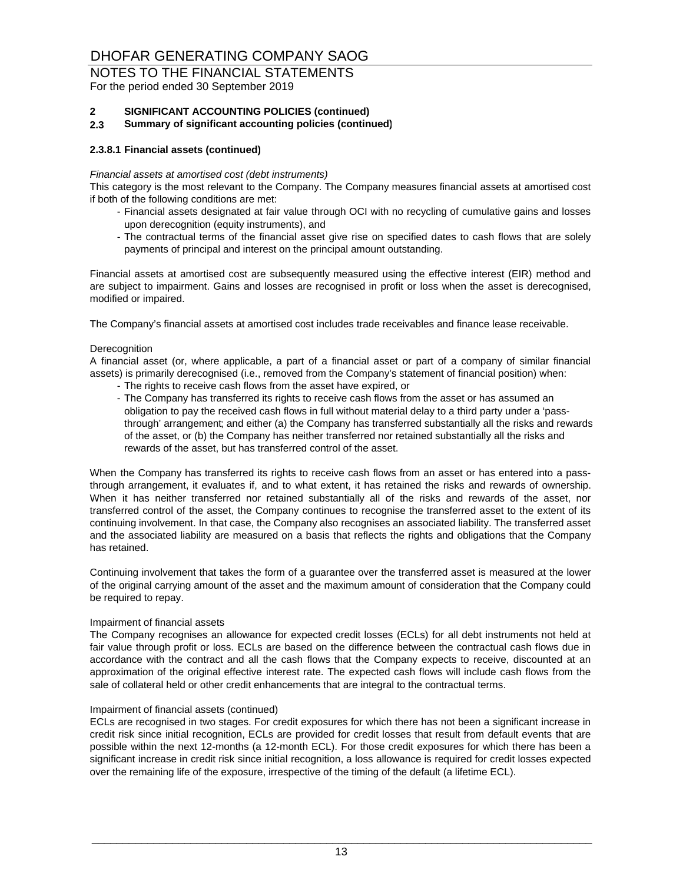For the period ended 30 September 2019

### **2 SIGNIFICANT ACCOUNTING POLICIES (continued)**

**2.3 Summary of significant accounting policies (continued)**

#### **2.3.8.1 Financial assets (continued)**

#### *Financial assets at amortised cost (debt instruments)*

This category is the most relevant to the Company. The Company measures financial assets at amortised cost if both of the following conditions are met:

- Financial assets designated at fair value through OCI with no recycling of cumulative gains and losses upon derecognition (equity instruments), and
- The contractual terms of the financial asset give rise on specified dates to cash flows that are solely payments of principal and interest on the principal amount outstanding.

Financial assets at amortised cost are subsequently measured using the effective interest (EIR) method and are subject to impairment. Gains and losses are recognised in profit or loss when the asset is derecognised, modified or impaired.

The Company's financial assets at amortised cost includes trade receivables and finance lease receivable.

#### **Derecognition**

A financial asset (or, where applicable, a part of a financial asset or part of a company of similar financial assets) is primarily derecognised (i.e., removed from the Company's statement of financial position) when:

- The rights to receive cash flows from the asset have expired, or
- The Company has transferred its rights to receive cash flows from the asset or has assumed an obligation to pay the received cash flows in full without material delay to a third party under a 'passthrough' arrangement; and either (a) the Company has transferred substantially all the risks and rewards of the asset, or (b) the Company has neither transferred nor retained substantially all the risks and rewards of the asset, but has transferred control of the asset.

When the Company has transferred its rights to receive cash flows from an asset or has entered into a passthrough arrangement, it evaluates if, and to what extent, it has retained the risks and rewards of ownership. When it has neither transferred nor retained substantially all of the risks and rewards of the asset, nor transferred control of the asset, the Company continues to recognise the transferred asset to the extent of its continuing involvement. In that case, the Company also recognises an associated liability. The transferred asset and the associated liability are measured on a basis that reflects the rights and obligations that the Company has retained.

Continuing involvement that takes the form of a guarantee over the transferred asset is measured at the lower of the original carrying amount of the asset and the maximum amount of consideration that the Company could be required to repay.

#### Impairment of financial assets

The Company recognises an allowance for expected credit losses (ECLs) for all debt instruments not held at fair value through profit or loss. ECLs are based on the difference between the contractual cash flows due in accordance with the contract and all the cash flows that the Company expects to receive, discounted at an approximation of the original effective interest rate. The expected cash flows will include cash flows from the sale of collateral held or other credit enhancements that are integral to the contractual terms.

#### Impairment of financial assets (continued)

ECLs are recognised in two stages. For credit exposures for which there has not been a significant increase in credit risk since initial recognition, ECLs are provided for credit losses that result from default events that are possible within the next 12-months (a 12-month ECL). For those credit exposures for which there has been a significant increase in credit risk since initial recognition, a loss allowance is required for credit losses expected over the remaining life of the exposure, irrespective of the timing of the default (a lifetime ECL).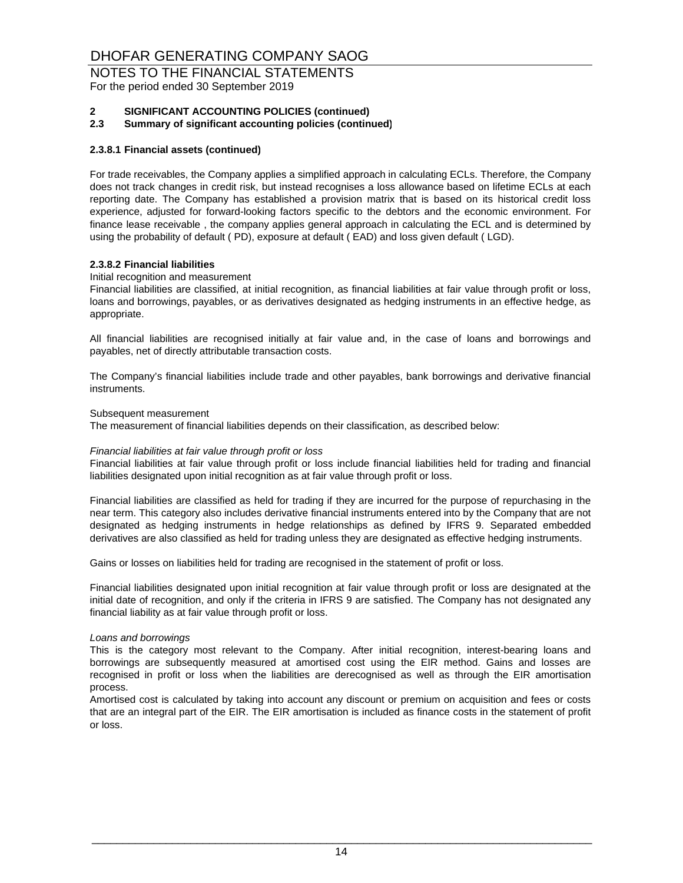For the period ended 30 September 2019

#### **2 SIGNIFICANT ACCOUNTING POLICIES (continued)**

**2.3 Summary of significant accounting policies (continued)**

#### **2.3.8.1 Financial assets (continued)**

For trade receivables, the Company applies a simplified approach in calculating ECLs. Therefore, the Company does not track changes in credit risk, but instead recognises a loss allowance based on lifetime ECLs at each reporting date. The Company has established a provision matrix that is based on its historical credit loss experience, adjusted for forward-looking factors specific to the debtors and the economic environment. For finance lease receivable , the company applies general approach in calculating the ECL and is determined by using the probability of default ( PD), exposure at default ( EAD) and loss given default ( LGD).

#### **2.3.8.2 Financial liabilities**

#### Initial recognition and measurement

Financial liabilities are classified, at initial recognition, as financial liabilities at fair value through profit or loss, loans and borrowings, payables, or as derivatives designated as hedging instruments in an effective hedge, as appropriate.

All financial liabilities are recognised initially at fair value and, in the case of loans and borrowings and payables, net of directly attributable transaction costs.

The Company's financial liabilities include trade and other payables, bank borrowings and derivative financial instruments.

#### Subsequent measurement

The measurement of financial liabilities depends on their classification, as described below:

#### *Financial liabilities at fair value through profit or loss*

Financial liabilities at fair value through profit or loss include financial liabilities held for trading and financial liabilities designated upon initial recognition as at fair value through profit or loss.

Financial liabilities are classified as held for trading if they are incurred for the purpose of repurchasing in the near term. This category also includes derivative financial instruments entered into by the Company that are not designated as hedging instruments in hedge relationships as defined by IFRS 9. Separated embedded derivatives are also classified as held for trading unless they are designated as effective hedging instruments.

Gains or losses on liabilities held for trading are recognised in the statement of profit or loss.

Financial liabilities designated upon initial recognition at fair value through profit or loss are designated at the initial date of recognition, and only if the criteria in IFRS 9 are satisfied. The Company has not designated any financial liability as at fair value through profit or loss.

#### *Loans and borrowings*

This is the category most relevant to the Company. After initial recognition, interest-bearing loans and borrowings are subsequently measured at amortised cost using the EIR method. Gains and losses are recognised in profit or loss when the liabilities are derecognised as well as through the EIR amortisation process.

Amortised cost is calculated by taking into account any discount or premium on acquisition and fees or costs that are an integral part of the EIR. The EIR amortisation is included as finance costs in the statement of profit or loss.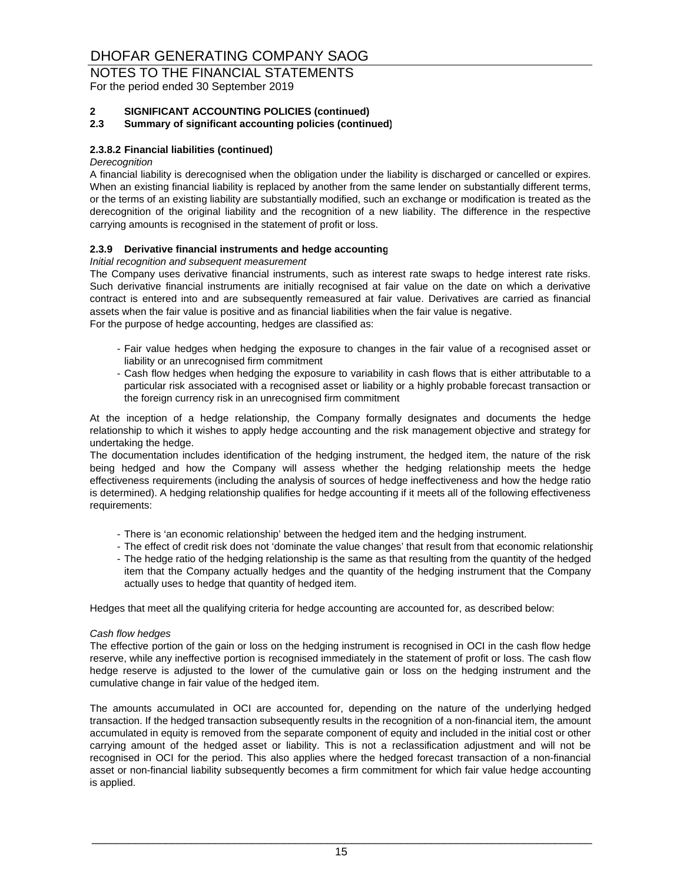For the period ended 30 September 2019

#### **2 SIGNIFICANT ACCOUNTING POLICIES (continued)**

#### **2.3 Summary of significant accounting policies (continued)**

#### **2.3.8.2 Financial liabilities (continued)**

#### *Derecognition*

A financial liability is derecognised when the obligation under the liability is discharged or cancelled or expires. When an existing financial liability is replaced by another from the same lender on substantially different terms, or the terms of an existing liability are substantially modified, such an exchange or modification is treated as the derecognition of the original liability and the recognition of a new liability. The difference in the respective carrying amounts is recognised in the statement of profit or loss.

#### **2.3.9 Derivative financial instruments and hedge accounting**

#### *Initial recognition and subsequent measurement*

For the purpose of hedge accounting, hedges are classified as: The Company uses derivative financial instruments, such as interest rate swaps to hedge interest rate risks. Such derivative financial instruments are initially recognised at fair value on the date on which a derivative contract is entered into and are subsequently remeasured at fair value. Derivatives are carried as financial assets when the fair value is positive and as financial liabilities when the fair value is negative.

- Fair value hedges when hedging the exposure to changes in the fair value of a recognised asset or liability or an unrecognised firm commitment
- Cash flow hedges when hedging the exposure to variability in cash flows that is either attributable to a particular risk associated with a recognised asset or liability or a highly probable forecast transaction or the foreign currency risk in an unrecognised firm commitment

At the inception of a hedge relationship, the Company formally designates and documents the hedge relationship to which it wishes to apply hedge accounting and the risk management objective and strategy for undertaking the hedge.

The documentation includes identification of the hedging instrument, the hedged item, the nature of the risk being hedged and how the Company will assess whether the hedging relationship meets the hedge effectiveness requirements (including the analysis of sources of hedge ineffectiveness and how the hedge ratio is determined). A hedging relationship qualifies for hedge accounting if it meets all of the following effectiveness requirements:

- There is 'an economic relationship' between the hedged item and the hedging instrument.
- The effect of credit risk does not 'dominate the value changes' that result from that economic relationship
- The hedge ratio of the hedging relationship is the same as that resulting from the quantity of the hedged item that the Company actually hedges and the quantity of the hedging instrument that the Company actually uses to hedge that quantity of hedged item.

Hedges that meet all the qualifying criteria for hedge accounting are accounted for, as described below:

#### *Cash flow hedges*

The effective portion of the gain or loss on the hedging instrument is recognised in OCI in the cash flow hedge reserve, while any ineffective portion is recognised immediately in the statement of profit or loss. The cash flow hedge reserve is adjusted to the lower of the cumulative gain or loss on the hedging instrument and the cumulative change in fair value of the hedged item.

The amounts accumulated in OCI are accounted for, depending on the nature of the underlying hedged transaction. If the hedged transaction subsequently results in the recognition of a non-financial item, the amount accumulated in equity is removed from the separate component of equity and included in the initial cost or other carrying amount of the hedged asset or liability. This is not a reclassification adjustment and will not be recognised in OCI for the period. This also applies where the hedged forecast transaction of a non-financial asset or non-financial liability subsequently becomes a firm commitment for which fair value hedge accounting is applied.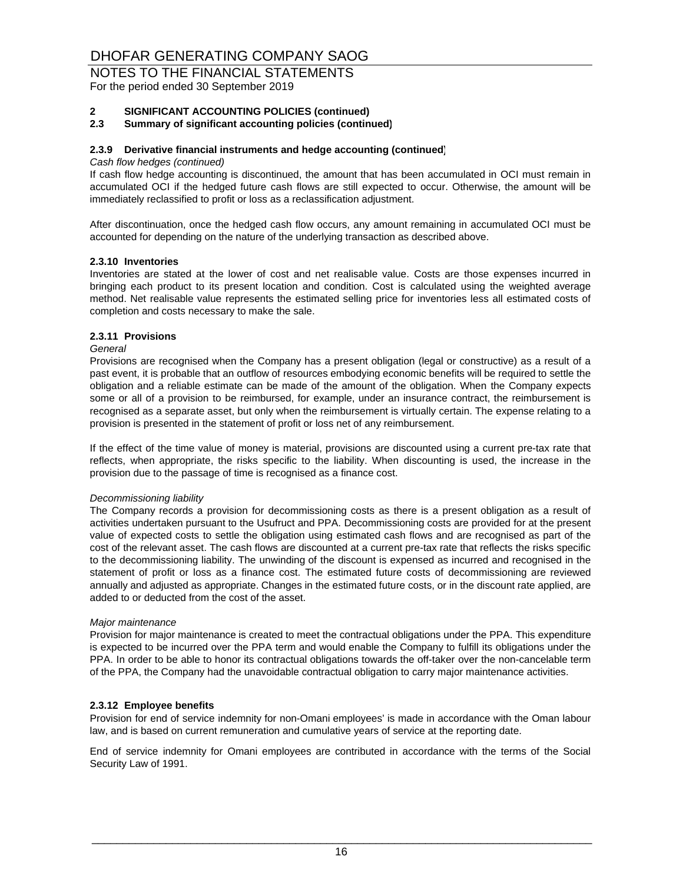NOTES TO THE FINANCIAL STATEMENTS

For the period ended 30 September 2019

#### **2 SIGNIFICANT ACCOUNTING POLICIES (continued)**

#### **2.3 Summary of significant accounting policies (continued)**

#### **2.3.9 Derivative financial instruments and hedge accounting (continued)**

#### *Cash flow hedges (continued)*

If cash flow hedge accounting is discontinued, the amount that has been accumulated in OCI must remain in accumulated OCI if the hedged future cash flows are still expected to occur. Otherwise, the amount will be immediately reclassified to profit or loss as a reclassification adjustment.

After discontinuation, once the hedged cash flow occurs, any amount remaining in accumulated OCI must be accounted for depending on the nature of the underlying transaction as described above.

#### **2.3.10 Inventories**

Inventories are stated at the lower of cost and net realisable value. Costs are those expenses incurred in bringing each product to its present location and condition. Cost is calculated using the weighted average method. Net realisable value represents the estimated selling price for inventories less all estimated costs of completion and costs necessary to make the sale.

#### **2.3.11 Provisions**

#### *General*

Provisions are recognised when the Company has a present obligation (legal or constructive) as a result of a past event, it is probable that an outflow of resources embodying economic benefits will be required to settle the obligation and a reliable estimate can be made of the amount of the obligation. When the Company expects some or all of a provision to be reimbursed, for example, under an insurance contract, the reimbursement is recognised as a separate asset, but only when the reimbursement is virtually certain. The expense relating to a provision is presented in the statement of profit or loss net of any reimbursement.

If the effect of the time value of money is material, provisions are discounted using a current pre-tax rate that reflects, when appropriate, the risks specific to the liability. When discounting is used, the increase in the provision due to the passage of time is recognised as a finance cost.

#### *Decommissioning liability*

The Company records a provision for decommissioning costs as there is a present obligation as a result of activities undertaken pursuant to the Usufruct and PPA. Decommissioning costs are provided for at the present value of expected costs to settle the obligation using estimated cash flows and are recognised as part of the cost of the relevant asset. The cash flows are discounted at a current pre-tax rate that reflects the risks specific to the decommissioning liability. The unwinding of the discount is expensed as incurred and recognised in the statement of profit or loss as a finance cost. The estimated future costs of decommissioning are reviewed annually and adjusted as appropriate. Changes in the estimated future costs, or in the discount rate applied, are added to or deducted from the cost of the asset.

#### *Major maintenance*

Provision for major maintenance is created to meet the contractual obligations under the PPA. This expenditure is expected to be incurred over the PPA term and would enable the Company to fulfill its obligations under the PPA. In order to be able to honor its contractual obligations towards the off-taker over the non-cancelable term of the PPA, the Company had the unavoidable contractual obligation to carry major maintenance activities.

#### **2.3.12 Employee benefits**

Provision for end of service indemnity for non-Omani employees' is made in accordance with the Oman labour law, and is based on current remuneration and cumulative years of service at the reporting date.

End of service indemnity for Omani employees are contributed in accordance with the terms of the Social Security Law of 1991.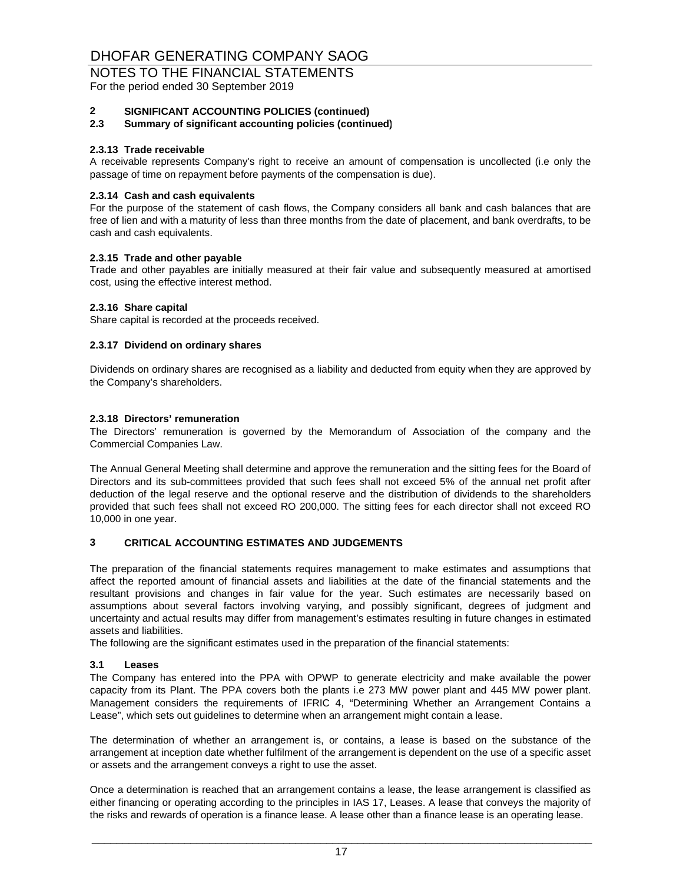For the period ended 30 September 2019

#### **2 SIGNIFICANT ACCOUNTING POLICIES (continued)**

#### **2.3 Summary of significant accounting policies (continued)**

#### **2.3.13 Trade receivable**

A receivable represents Company's right to receive an amount of compensation is uncollected (i.e only the passage of time on repayment before payments of the compensation is due).

#### **2.3.14 Cash and cash equivalents**

For the purpose of the statement of cash flows, the Company considers all bank and cash balances that are free of lien and with a maturity of less than three months from the date of placement, and bank overdrafts, to be cash and cash equivalents.

#### **2.3.15 Trade and other payable**

Trade and other payables are initially measured at their fair value and subsequently measured at amortised cost, using the effective interest method.

#### **2.3.16 Share capital**

Share capital is recorded at the proceeds received.

#### **2.3.17 Dividend on ordinary shares**

Dividends on ordinary shares are recognised as a liability and deducted from equity when they are approved by the Company's shareholders.

#### **2.3.18 Directors' remuneration**

The Directors' remuneration is governed by the Memorandum of Association of the company and the Commercial Companies Law.

The Annual General Meeting shall determine and approve the remuneration and the sitting fees for the Board of Directors and its sub-committees provided that such fees shall not exceed 5% of the annual net profit after deduction of the legal reserve and the optional reserve and the distribution of dividends to the shareholders provided that such fees shall not exceed RO 200,000. The sitting fees for each director shall not exceed RO 10,000 in one year.

#### **3 CRITICAL ACCOUNTING ESTIMATES AND JUDGEMENTS**

The preparation of the financial statements requires management to make estimates and assumptions that affect the reported amount of financial assets and liabilities at the date of the financial statements and the resultant provisions and changes in fair value for the year. Such estimates are necessarily based on assumptions about several factors involving varying, and possibly significant, degrees of judgment and uncertainty and actual results may differ from management's estimates resulting in future changes in estimated assets and liabilities.

The following are the significant estimates used in the preparation of the financial statements:

#### **3.1 Leases**

The Company has entered into the PPA with OPWP to generate electricity and make available the power capacity from its Plant. The PPA covers both the plants i.e 273 MW power plant and 445 MW power plant. Management considers the requirements of IFRIC 4, "Determining Whether an Arrangement Contains a Lease", which sets out guidelines to determine when an arrangement might contain a lease.

The determination of whether an arrangement is, or contains, a lease is based on the substance of the arrangement at inception date whether fulfilment of the arrangement is dependent on the use of a specific asset or assets and the arrangement conveys a right to use the asset.

Once a determination is reached that an arrangement contains a lease, the lease arrangement is classified as either financing or operating according to the principles in IAS 17, Leases. A lease that conveys the majority of the risks and rewards of operation is a finance lease. A lease other than a finance lease is an operating lease.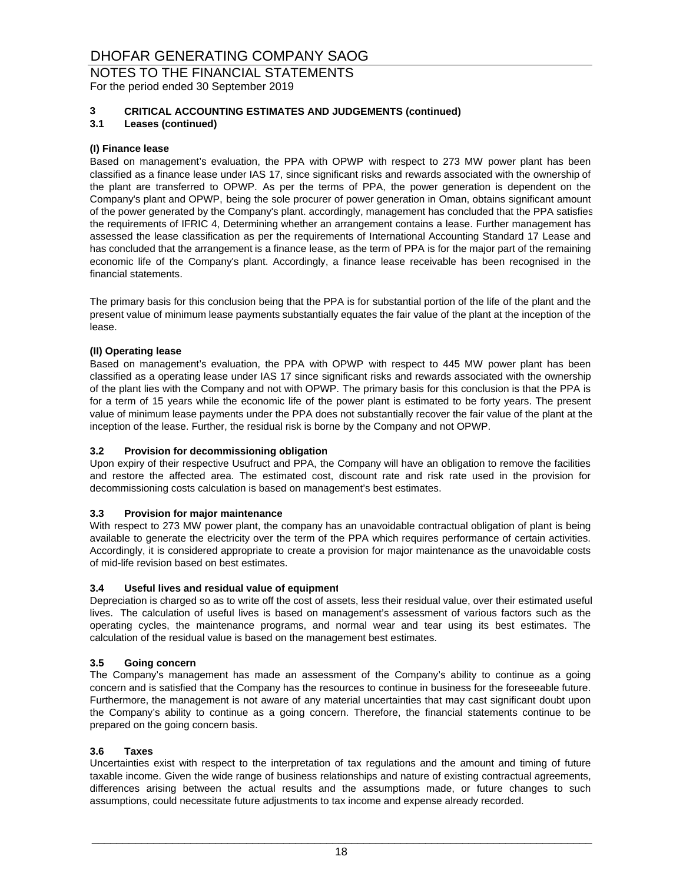For the period ended 30 September 2019

### **3 CRITICAL ACCOUNTING ESTIMATES AND JUDGEMENTS (continued)**

**3.1 Leases (continued)**

#### **(I) Finance lease**

Based on management's evaluation, the PPA with OPWP with respect to 273 MW power plant has been classified as a finance lease under IAS 17, since significant risks and rewards associated with the ownership of the plant are transferred to OPWP. As per the terms of PPA, the power generation is dependent on the Company's plant and OPWP, being the sole procurer of power generation in Oman, obtains significant amount of the power generated by the Company's plant. accordingly, management has concluded that the PPA satisfies the requirements of IFRIC 4, Determining whether an arrangement contains a lease. Further management has assessed the lease classification as per the requirements of International Accounting Standard 17 Lease and has concluded that the arrangement is a finance lease, as the term of PPA is for the major part of the remaining economic life of the Company's plant. Accordingly, a finance lease receivable has been recognised in the financial statements.

The primary basis for this conclusion being that the PPA is for substantial portion of the life of the plant and the present value of minimum lease payments substantially equates the fair value of the plant at the inception of the lease.

#### **(II) Operating lease**

Based on management's evaluation, the PPA with OPWP with respect to 445 MW power plant has been classified as a operating lease under IAS 17 since significant risks and rewards associated with the ownership of the plant lies with the Company and not with OPWP. The primary basis for this conclusion is that the PPA is for a term of 15 years while the economic life of the power plant is estimated to be forty years. The present value of minimum lease payments under the PPA does not substantially recover the fair value of the plant at the inception of the lease. Further, the residual risk is borne by the Company and not OPWP.

#### **3.2 Provision for decommissioning obligation**

Upon expiry of their respective Usufruct and PPA, the Company will have an obligation to remove the facilities and restore the affected area. The estimated cost, discount rate and risk rate used in the provision for decommissioning costs calculation is based on management's best estimates.

#### **3.3 Provision for major maintenance**

With respect to 273 MW power plant, the company has an unavoidable contractual obligation of plant is being available to generate the electricity over the term of the PPA which requires performance of certain activities. Accordingly, it is considered appropriate to create a provision for major maintenance as the unavoidable costs of mid-life revision based on best estimates.

#### **3.4 Useful lives and residual value of equipment**

Depreciation is charged so as to write off the cost of assets, less their residual value, over their estimated useful lives. The calculation of useful lives is based on management's assessment of various factors such as the operating cycles, the maintenance programs, and normal wear and tear using its best estimates. The calculation of the residual value is based on the management best estimates.

#### **3.5 Going concern**

The Company's management has made an assessment of the Company's ability to continue as a going concern and is satisfied that the Company has the resources to continue in business for the foreseeable future. Furthermore, the management is not aware of any material uncertainties that may cast significant doubt upon the Company's ability to continue as a going concern. Therefore, the financial statements continue to be prepared on the going concern basis.

#### **3.6 Taxes**

Uncertainties exist with respect to the interpretation of tax regulations and the amount and timing of future taxable income. Given the wide range of business relationships and nature of existing contractual agreements, differences arising between the actual results and the assumptions made, or future changes to such assumptions, could necessitate future adjustments to tax income and expense already recorded.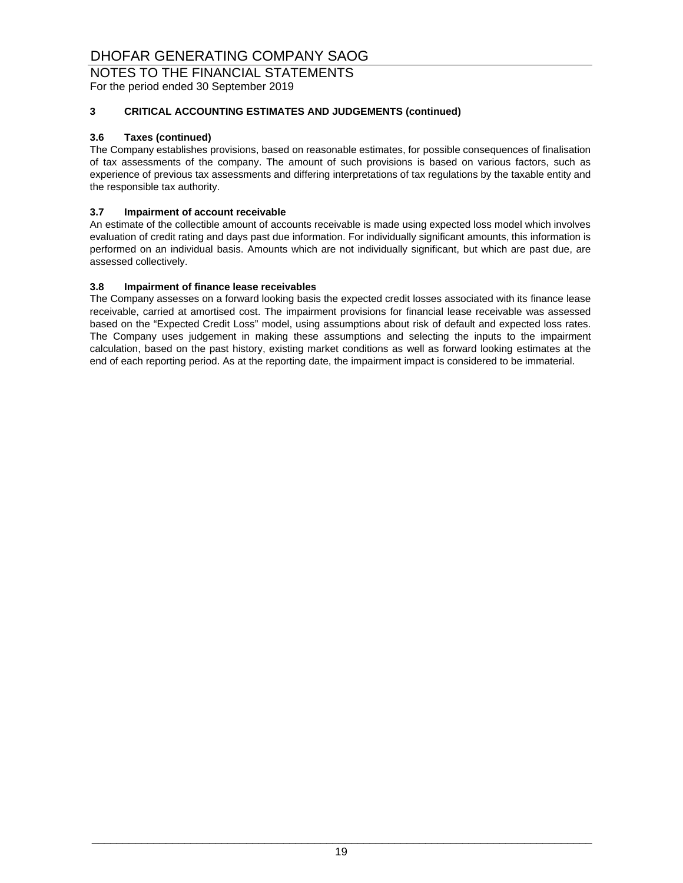NOTES TO THE FINANCIAL STATEMENTS

For the period ended 30 September 2019

### **3 CRITICAL ACCOUNTING ESTIMATES AND JUDGEMENTS (continued)**

#### **3.6 Taxes (continued)**

The Company establishes provisions, based on reasonable estimates, for possible consequences of finalisation of tax assessments of the company. The amount of such provisions is based on various factors, such as experience of previous tax assessments and differing interpretations of tax regulations by the taxable entity and the responsible tax authority.

#### **3.7 Impairment of account receivable**

An estimate of the collectible amount of accounts receivable is made using expected loss model which involves evaluation of credit rating and days past due information. For individually significant amounts, this information is performed on an individual basis. Amounts which are not individually significant, but which are past due, are assessed collectively.

#### **3.8 Impairment of finance lease receivables**

The Company assesses on a forward looking basis the expected credit losses associated with its finance lease receivable, carried at amortised cost. The impairment provisions for financial lease receivable was assessed based on the "Expected Credit Loss" model, using assumptions about risk of default and expected loss rates. The Company uses judgement in making these assumptions and selecting the inputs to the impairment calculation, based on the past history, existing market conditions as well as forward looking estimates at the end of each reporting period. As at the reporting date, the impairment impact is considered to be immaterial.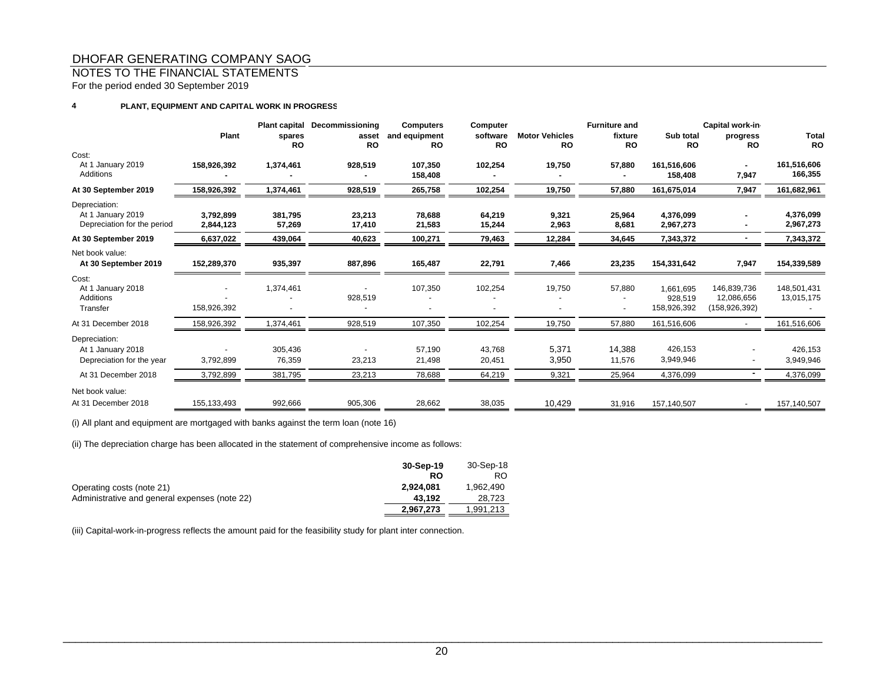### NOTES TO THE FINANCIAL STATEMENTS

For the period ended 30 September 2019

#### **4PLANT, EQUIPMENT AND CAPITAL WORK IN PROGRESS**

|                                                                   | Plant                  | <b>Plant capital</b><br>spares<br><b>RO</b> | Decommissioning<br>asset<br>RO | <b>Computers</b><br>and equipment<br><b>RO</b> | Computer<br>software<br><b>RO</b> | <b>Motor Vehicles</b><br><b>RO</b> | <b>Furniture and</b><br>fixture<br><b>RO</b> | Sub total<br><b>RO</b>              | Capital work-in<br>progress<br><b>RO</b>   | <b>Total</b><br><b>RO</b> |
|-------------------------------------------------------------------|------------------------|---------------------------------------------|--------------------------------|------------------------------------------------|-----------------------------------|------------------------------------|----------------------------------------------|-------------------------------------|--------------------------------------------|---------------------------|
| Cost:<br>At 1 January 2019<br>Additions                           | 158,926,392            | 1,374,461                                   | 928,519                        | 107,350<br>158,408                             | 102,254                           | 19,750                             | 57,880                                       | 161,516,606<br>158,408              | ۰.<br>7,947                                | 161,516,606<br>166,355    |
| At 30 September 2019                                              | 158,926,392            | 1,374,461                                   | 928,519                        | 265,758                                        | 102,254                           | 19,750                             | 57,880                                       | 161,675,014                         | 7,947                                      | 161,682,961               |
| Depreciation:<br>At 1 January 2019<br>Depreciation for the period | 3.792.899<br>2,844,123 | 381,795<br>57,269                           | 23,213<br>17,410               | 78,688<br>21,583                               | 64,219<br>15,244                  | 9,321<br>2,963                     | 25,964<br>8,681                              | 4.376.099<br>2,967,273              |                                            | 4,376,099<br>2,967,273    |
| At 30 September 2019                                              | 6,637,022              | 439,064                                     | 40,623                         | 100,271                                        | 79,463                            | 12,284                             | 34,645                                       | 7,343,372                           |                                            | 7,343,372                 |
| Net book value:<br>At 30 September 2019                           | 152,289,370            | 935,397                                     | 887,896                        | 165,487                                        | 22,791                            | 7,466                              | 23,235                                       | 154,331,642                         | 7,947                                      | 154,339,589               |
| Cost:<br>At 1 January 2018<br>Additions<br>Transfer               | 158,926,392            | 1,374,461                                   | 928,519                        | 107,350                                        | 102,254                           | 19,750                             | 57,880<br>$\blacksquare$                     | 1,661,695<br>928,519<br>158,926,392 | 146,839,736<br>12,086,656<br>(158,926,392) | 148,501,431<br>13,015,175 |
| At 31 December 2018                                               | 158,926,392            | 1,374,461                                   | 928,519                        | 107,350                                        | 102,254                           | 19,750                             | 57,880                                       | 161,516,606                         |                                            | 161,516,606               |
| Depreciation:<br>At 1 January 2018<br>Depreciation for the year   | 3,792,899              | 305,436<br>76,359                           | 23,213                         | 57,190<br>21,498                               | 43,768<br>20,451                  | 5,371<br>3,950                     | 14,388<br>11,576                             | 426,153<br>3,949,946                |                                            | 426,153<br>3,949,946      |
| At 31 December 2018                                               | 3,792,899              | 381,795                                     | 23,213                         | 78,688                                         | 64,219                            | 9,321                              | 25,964                                       | 4,376,099                           |                                            | 4,376,099                 |
| Net book value:<br>At 31 December 2018                            | 155,133,493            | 992,666                                     | 905,306                        | 28,662                                         | 38,035                            | 10,429                             | 31,916                                       | 157,140,507                         |                                            | 157,140,507               |

(i) All plant and equipment are mortgaged with banks against the term loan (note 16)

(ii) The depreciation charge has been allocated in the statement of comprehensive income as follows:

|                                               | 30-Sep-19 | 30-Sep-18 |
|-----------------------------------------------|-----------|-----------|
|                                               | RO        | RO        |
| Operating costs (note 21)                     | 2.924.081 | 1.962.490 |
| Administrative and general expenses (note 22) | 43.192    | 28.723    |
|                                               | 2.967.273 | 1,991,213 |

(iii) Capital-work-in-progress reflects the amount paid for the feasibility study for plant inter connection.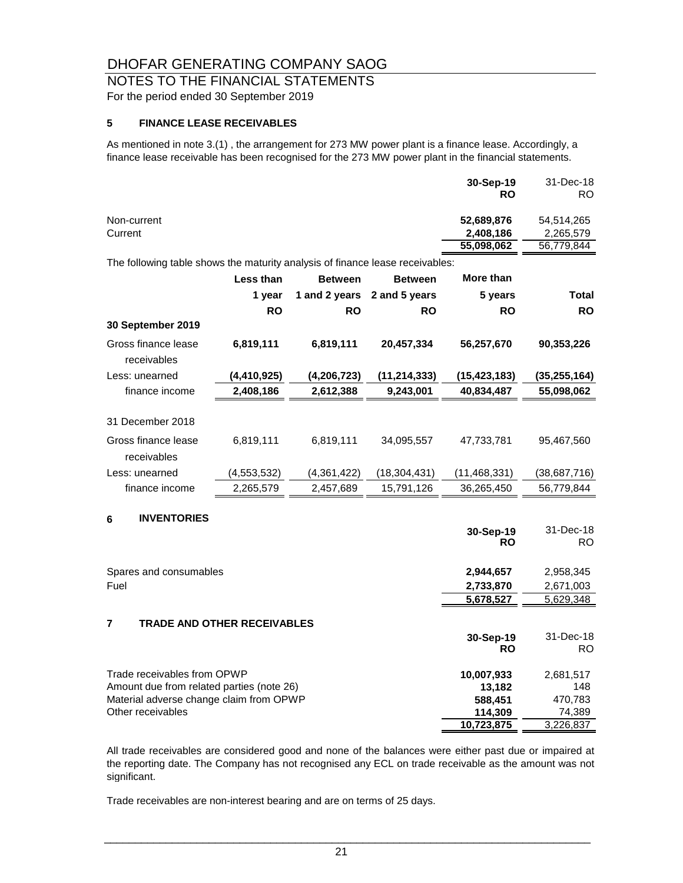# NOTES TO THE FINANCIAL STATEMENTS For the period ended 30 September 2019

### **5 FINANCE LEASE RECEIVABLES**

As mentioned in note 3.(1) , the arrangement for 273 MW power plant is a finance lease. Accordingly, a finance lease receivable has been recognised for the 273 MW power plant in the financial statements.

|                                                                               | $30-Sep-19$<br><b>RO</b> | 31-Dec-18<br>RO. |
|-------------------------------------------------------------------------------|--------------------------|------------------|
| Non-current                                                                   | 52,689,876               | 54.514.265       |
| Current                                                                       | 2,408,186                | 2,265,579        |
|                                                                               | 55,098,062               | 56,779,844       |
| The following table shows the maturity analysis of finance lease receivables: |                          |                  |

|                                    | Less than   | <b>Between</b> | <b>Between</b> | More than              |                  |
|------------------------------------|-------------|----------------|----------------|------------------------|------------------|
|                                    | 1 year      | 1 and 2 years  | 2 and 5 years  | 5 years                | <b>Total</b>     |
|                                    | <b>RO</b>   | <b>RO</b>      | <b>RO</b>      | <b>RO</b>              | <b>RO</b>        |
| 30 September 2019                  |             |                |                |                        |                  |
| Gross finance lease<br>receivables | 6,819,111   | 6,819,111      | 20,457,334     | 56,257,670             | 90,353,226       |
| Less: unearned                     | (4,410,925) | (4, 206, 723)  | (11, 214, 333) | (15, 423, 183)         | (35,255,164)     |
| finance income                     | 2,408,186   | 2,612,388      | 9,243,001      | 40,834,487             | 55,098,062       |
| 31 December 2018                   |             |                |                |                        |                  |
| Gross finance lease<br>receivables | 6,819,111   | 6,819,111      | 34,095,557     | 47,733,781             | 95,467,560       |
| Less: unearned                     | (4,553,532) | (4,361,422)    | (18,304,431)   | (11,468,331)           | (38,687,716)     |
| finance income                     | 2,265,579   | 2,457,689      | 15,791,126     | 36,265,450             | 56,779,844       |
| <b>INVENTORIES</b><br>6            |             |                |                | 30-Sep-19<br><b>RO</b> | 31-Dec-18<br>RO. |

| Spares and consumables                               | 2,944,657  | 2,958,345 |
|------------------------------------------------------|------------|-----------|
| Fuel                                                 | 2,733,870  | 2,671,003 |
|                                                      | 5,678,527  | 5,629,348 |
| $\overline{7}$<br><b>TRADE AND OTHER RECEIVABLES</b> |            |           |
|                                                      | 30-Sep-19  | 31-Dec-18 |
|                                                      | <b>RO</b>  | RO.       |
| Trade receivables from OPWP                          | 10,007,933 | 2,681,517 |
| Amount due from related parties (note 26)            | 13.182     | 148       |
| Material adverse change claim from OPWP              | 588,451    | 470,783   |
| Other receivables                                    | 114,309    | 74,389    |
|                                                      | 10.723.875 | 3.226.837 |

All trade receivables are considered good and none of the balances were either past due or impaired at the reporting date. The Company has not recognised any ECL on trade receivable as the amount was not significant.

Trade receivables are non-interest bearing and are on terms of 25 days.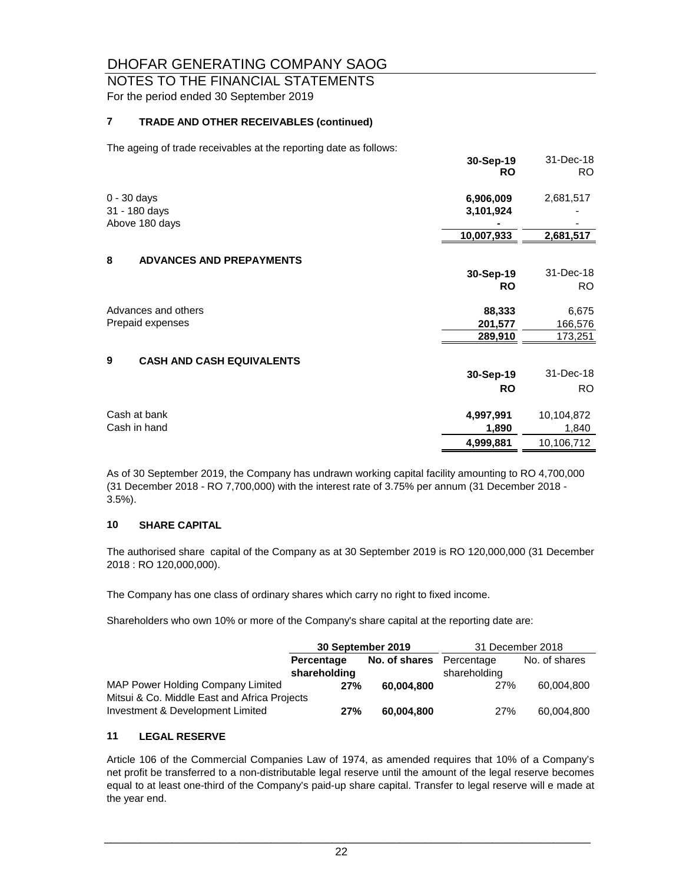# NOTES TO THE FINANCIAL STATEMENTS For the period ended 30 September 2019

### **7 TRADE AND OTHER RECEIVABLES (continued)**

The ageing of trade receivables at the reporting date as follows:

|                                       | 30-Sep-19<br><b>RO</b> | 31-Dec-18<br>RO. |
|---------------------------------------|------------------------|------------------|
| $0 - 30$ days                         | 6,906,009              | 2,681,517        |
| 31 - 180 days                         | 3,101,924              |                  |
| Above 180 days                        |                        |                  |
|                                       | 10,007,933             | 2,681,517        |
| 8<br><b>ADVANCES AND PREPAYMENTS</b>  |                        |                  |
|                                       | 30-Sep-19              | 31-Dec-18        |
|                                       | <b>RO</b>              | RO.              |
| Advances and others                   | 88,333                 | 6,675            |
| Prepaid expenses                      | 201,577                | 166,576          |
|                                       | 289,910                | 173,251          |
| 9<br><b>CASH AND CASH EQUIVALENTS</b> |                        |                  |
|                                       | 30-Sep-19              | 31-Dec-18        |
|                                       | <b>RO</b>              | RO.              |
| Cash at bank                          | 4,997,991              | 10,104,872       |
| Cash in hand                          | 1,890                  | 1,840            |
|                                       | 4,999,881              | 10,106,712       |

As of 30 September 2019, the Company has undrawn working capital facility amounting to RO 4,700,000 (31 December 2018 - RO 7,700,000) with the interest rate of 3.75% per annum (31 December 2018 - 3.5%).

### **10 SHARE CAPITAL**

The authorised share capital of the Company as at 30 September 2019 is RO 120,000,000 (31 December 2018 : RO 120,000,000).

The Company has one class of ordinary shares which carry no right to fixed income.

Shareholders who own 10% or more of the Company's share capital at the reporting date are:

|                                              | 30 September 2019 |               | 31 December 2018 |               |
|----------------------------------------------|-------------------|---------------|------------------|---------------|
|                                              | Percentage        | No. of shares | Percentage       | No. of shares |
|                                              | shareholding      |               | shareholding     |               |
| MAP Power Holding Company Limited            | 27%               | 60.004.800    | 27%              | 60.004.800    |
| Mitsui & Co. Middle East and Africa Projects |                   |               |                  |               |
| Investment & Development Limited             | 27%               | 60.004.800    | <b>27%</b>       | 60.004.800    |

### **11 LEGAL RESERVE**

Article 106 of the Commercial Companies Law of 1974, as amended requires that 10% of a Company's net profit be transferred to a non-distributable legal reserve until the amount of the legal reserve becomes equal to at least one-third of the Company's paid-up share capital. Transfer to legal reserve will e made at the year end.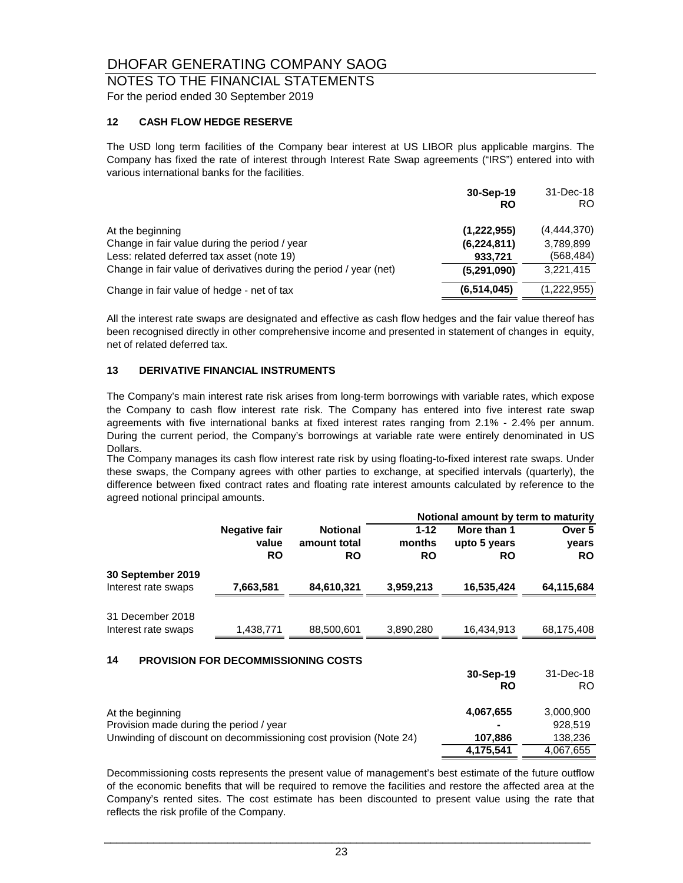### NOTES TO THE FINANCIAL STATEMENTS For the period ended 30 September 2019

### **12 CASH FLOW HEDGE RESERVE**

The USD long term facilities of the Company bear interest at US LIBOR plus applicable margins. The Company has fixed the rate of interest through Interest Rate Swap agreements ("IRS") entered into with various international banks for the facilities.

|                                                                                                                                                                                       | 30-Sep-19<br><b>RO</b>                                 | 31-Dec-18<br>RO.                                    |
|---------------------------------------------------------------------------------------------------------------------------------------------------------------------------------------|--------------------------------------------------------|-----------------------------------------------------|
| At the beginning<br>Change in fair value during the period / year<br>Less: related deferred tax asset (note 19)<br>Change in fair value of derivatives during the period / year (net) | (1,222,955)<br>(6, 224, 811)<br>933,721<br>(5,291,090) | (4,444,370)<br>3,789,899<br>(568, 484)<br>3,221,415 |
| Change in fair value of hedge - net of tax                                                                                                                                            | (6, 514, 045)                                          | (1,222,955)                                         |

All the interest rate swaps are designated and effective as cash flow hedges and the fair value thereof has been recognised directly in other comprehensive income and presented in statement of changes in equity, net of related deferred tax.

#### **13 DERIVATIVE FINANCIAL INSTRUMENTS**

The Company's main interest rate risk arises from long-term borrowings with variable rates, which expose the Company to cash flow interest rate risk. The Company has entered into five interest rate swap agreements with five international banks at fixed interest rates ranging from 2.1% - 2.4% per annum. During the current period, the Company's borrowings at variable rate were entirely denominated in US Dollars.

The Company manages its cash flow interest rate risk by using floating-to-fixed interest rate swaps. Under these swaps, the Company agrees with other parties to exchange, at specified intervals (quarterly), the difference between fixed contract rates and floating rate interest amounts calculated by reference to the agreed notional principal amounts.

|                                                                   |                                     |                 |           | Notional amount by term to maturity |            |
|-------------------------------------------------------------------|-------------------------------------|-----------------|-----------|-------------------------------------|------------|
|                                                                   | <b>Negative fair</b>                | <b>Notional</b> | $1 - 12$  | More than 1                         | Over 5     |
|                                                                   | value                               | amount total    | months    | upto 5 years                        | years      |
|                                                                   | <b>RO</b>                           | <b>RO</b>       | <b>RO</b> | <b>RO</b>                           | <b>RO</b>  |
| 30 September 2019                                                 |                                     |                 |           |                                     |            |
| Interest rate swaps                                               | 7,663,581                           | 84,610,321      | 3,959,213 | 16,535,424                          | 64,115,684 |
|                                                                   |                                     |                 |           |                                     |            |
| 31 December 2018                                                  |                                     |                 |           |                                     |            |
| Interest rate swaps                                               | 1,438,771                           | 88,500,601      | 3,890,280 | 16,434,913                          | 68,175,408 |
|                                                                   |                                     |                 |           |                                     |            |
| 14                                                                | PROVISION FOR DECOMMISSIONING COSTS |                 |           |                                     |            |
|                                                                   |                                     |                 |           | 30-Sep-19                           | 31-Dec-18  |
|                                                                   |                                     |                 |           | <b>RO</b>                           | RO.        |
| At the beginning                                                  |                                     |                 |           | 4,067,655                           | 3,000,900  |
| Provision made during the period / year                           |                                     |                 |           |                                     | 928,519    |
| Unwinding of discount on decommissioning cost provision (Note 24) |                                     |                 |           | 107,886                             | 138,236    |
|                                                                   |                                     |                 |           | 4,175,541                           | 4,067,655  |

Decommissioning costs represents the present value of management's best estimate of the future outflow of the economic benefits that will be required to remove the facilities and restore the affected area at the Company's rented sites. The cost estimate has been discounted to present value using the rate that reflects the risk profile of the Company.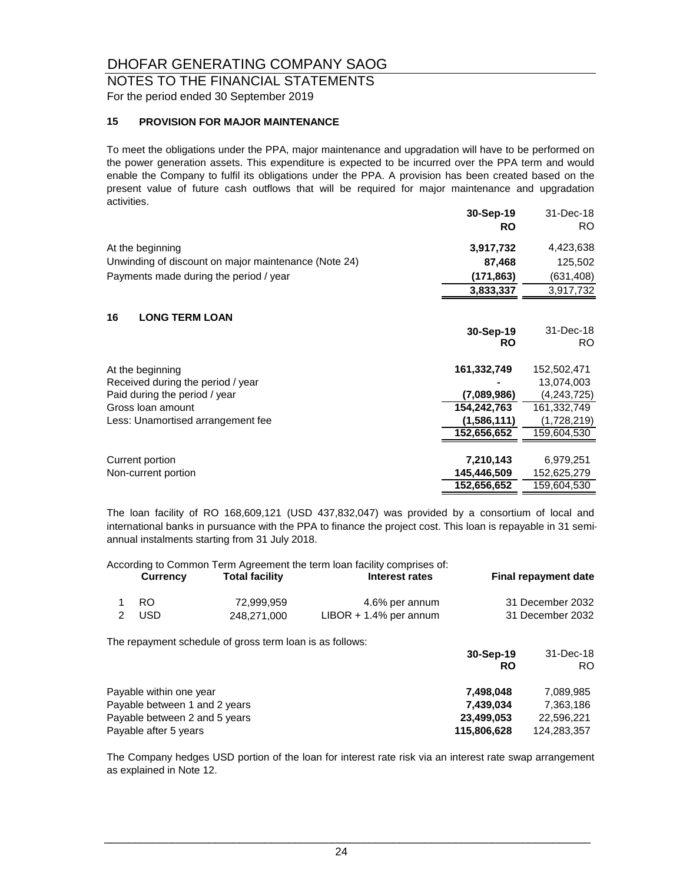### NOTES TO THE FINANCIAL STATEMENTS For the period ended 30 September 2019

#### **15 PROVISION FOR MAJOR MAINTENANCE**

To meet the obligations under the PPA, major maintenance and upgradation will have to be performed on the power generation assets. This expenditure is expected to be incurred over the PPA term and would enable the Company to fulfil its obligations under the PPA. A provision has been created based on the present value of future cash outflows that will be required for major maintenance and upgradation activities.

|                                                      | 30-Sep-19<br><b>RO</b> | 31-Dec-18<br>RO. |
|------------------------------------------------------|------------------------|------------------|
| At the beginning                                     | 3,917,732              | 4,423,638        |
| Unwinding of discount on major maintenance (Note 24) | 87,468                 | 125,502          |
| Payments made during the period / year               | (171, 863)             | (631, 408)       |
|                                                      | 3,833,337              | 3,917,732        |
| 16<br><b>LONG TERM LOAN</b>                          |                        |                  |
|                                                      | 30-Sep-19              | 31-Dec-18        |
|                                                      | <b>RO</b>              | RO.              |
| At the beginning                                     | 161,332,749            | 152,502,471      |
| Received during the period / year                    |                        | 13,074,003       |
| Paid during the period / year                        | (7,089,986)            | (4,243,725)      |
| Gross Ioan amount                                    | 154,242,763            | 161,332,749      |
| Less: Unamortised arrangement fee                    | (1,586,111)            | (1,728,219)      |
|                                                      | 152,656,652            | 159,604,530      |
|                                                      |                        |                  |
| Current portion                                      | 7,210,143              | 6,979,251        |
| Non-current portion                                  | 145,446,509            | 152,625,279      |
|                                                      | 152,656,652            | 159,604,530      |

The loan facility of RO 168,609,121 (USD 437,832,047) was provided by a consortium of local and international banks in pursuance with the PPA to finance the project cost. This loan is repayable in 31 semiannual instalments starting from 31 July 2018.

|   | Currency                                                                                                           | <b>Total facility</b>                                    | According to Common Term Agreement the term loan facility comprises of:<br>Interest rates |                                                     | <b>Final repayment date</b>                         |
|---|--------------------------------------------------------------------------------------------------------------------|----------------------------------------------------------|-------------------------------------------------------------------------------------------|-----------------------------------------------------|-----------------------------------------------------|
| 2 | RO.<br><b>USD</b>                                                                                                  | 72,999,959<br>248.271.000                                | 4.6% per annum<br>$LIBOR + 1.4%$ per annum                                                |                                                     | 31 December 2032<br>31 December 2032                |
|   |                                                                                                                    | The repayment schedule of gross term loan is as follows: |                                                                                           | 30-Sep-19<br><b>RO</b>                              | 31-Dec-18<br>RO.                                    |
|   | Payable within one year<br>Payable between 1 and 2 years<br>Payable between 2 and 5 years<br>Payable after 5 years |                                                          |                                                                                           | 7,498,048<br>7,439,034<br>23,499,053<br>115,806,628 | 7,089,985<br>7,363,186<br>22,596,221<br>124.283.357 |

The Company hedges USD portion of the loan for interest rate risk via an interest rate swap arrangement as explained in Note 12.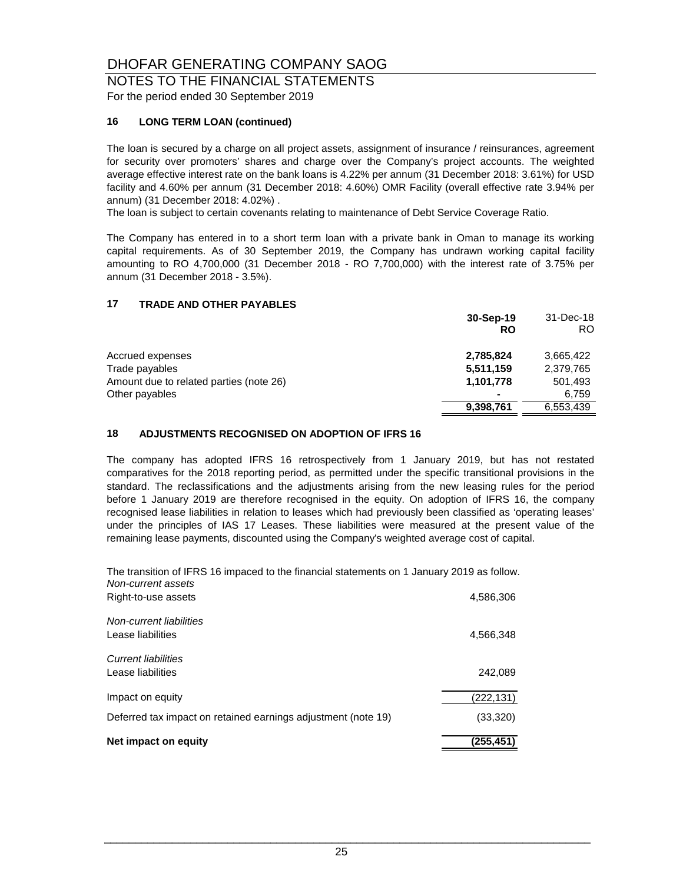### NOTES TO THE FINANCIAL STATEMENTS For the period ended 30 September 2019

### **16 LONG TERM LOAN (continued)**

The loan is secured by a charge on all project assets, assignment of insurance / reinsurances, agreement for security over promoters' shares and charge over the Company's project accounts. The weighted average effective interest rate on the bank loans is 4.22% per annum (31 December 2018: 3.61%) for USD facility and 4.60% per annum (31 December 2018: 4.60%) OMR Facility (overall effective rate 3.94% per annum) (31 December 2018: 4.02%) .

The loan is subject to certain covenants relating to maintenance of Debt Service Coverage Ratio.

The Company has entered in to a short term loan with a private bank in Oman to manage its working capital requirements. As of 30 September 2019, the Company has undrawn working capital facility amounting to RO 4,700,000 (31 December 2018 - RO 7,700,000) with the interest rate of 3.75% per annum (31 December 2018 - 3.5%).

#### **17 TRADE AND OTHER PAYABLES**

|                                         | 30-Sep-19 | 31-Dec-18 |
|-----------------------------------------|-----------|-----------|
|                                         | <b>RO</b> | RO        |
| Accrued expenses                        | 2,785,824 | 3.665.422 |
| Trade payables                          | 5,511,159 | 2,379,765 |
| Amount due to related parties (note 26) | 1,101,778 | 501,493   |
| Other payables                          | -         | 6.759     |
|                                         | 9,398,761 | 6,553,439 |

#### **18 ADJUSTMENTS RECOGNISED ON ADOPTION OF IFRS 16**

The company has adopted IFRS 16 retrospectively from 1 January 2019, but has not restated comparatives for the 2018 reporting period, as permitted under the specific transitional provisions in the standard. The reclassifications and the adjustments arising from the new leasing rules for the period before 1 January 2019 are therefore recognised in the equity. On adoption of IFRS 16, the company recognised lease liabilities in relation to leases which had previously been classified as 'operating leases' under the principles of IAS 17 Leases. These liabilities were measured at the present value of the remaining lease payments, discounted using the Company's weighted average cost of capital.

*Non-current assets* The transition of IFRS 16 impaced to the financial statements on 1 January 2019 as follow.

| Net impact on equity                                          | (255,451) |
|---------------------------------------------------------------|-----------|
| Deferred tax impact on retained earnings adjustment (note 19) | (33,320)  |
| Impact on equity                                              | (222,131) |
| Current liabilities<br>Lease liabilities                      | 242,089   |
| Non-current liabilities<br>Lease liabilities                  | 4,566,348 |
| Right-to-use assets                                           | 4,586,306 |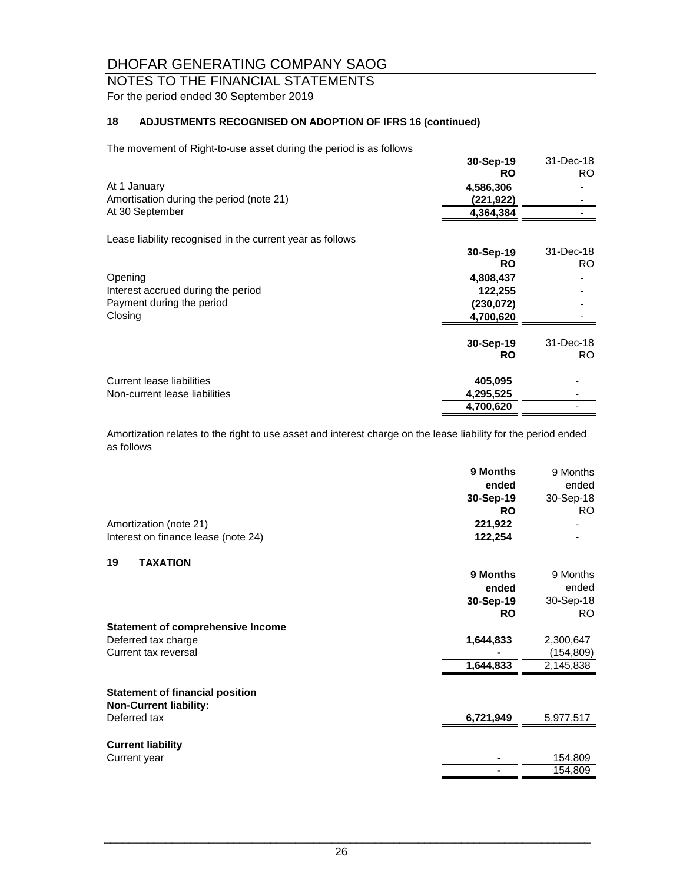# NOTES TO THE FINANCIAL STATEMENTS For the period ended 30 September 2019

# **18 ADJUSTMENTS RECOGNISED ON ADOPTION OF IFRS 16 (continued)**

The movement of Right-to-use asset during the period is as follows

| $10 - 0.000$ and $0.000$ and $0.000$ and $0.000$ and $0.000$ and $0.000$ and $0.000$ and $0.000$ and $0.000$ and $0.000$ and $0.000$ and $0.000$ and $0.000$ and $0.000$ and $0.000$ and $0.000$ and $0.000$ and $0.000$ and |           |           |
|------------------------------------------------------------------------------------------------------------------------------------------------------------------------------------------------------------------------------|-----------|-----------|
|                                                                                                                                                                                                                              | 30-Sep-19 | 31-Dec-18 |
|                                                                                                                                                                                                                              | <b>RO</b> | <b>RO</b> |
| At 1 January                                                                                                                                                                                                                 | 4,586,306 |           |
| Amortisation during the period (note 21)                                                                                                                                                                                     | (221,922) |           |
| At 30 September                                                                                                                                                                                                              | 4,364,384 |           |
| Lease liability recognised in the current year as follows                                                                                                                                                                    |           |           |
|                                                                                                                                                                                                                              | 30-Sep-19 | 31-Dec-18 |
|                                                                                                                                                                                                                              | <b>RO</b> | RO.       |
| Opening                                                                                                                                                                                                                      | 4,808,437 |           |
| Interest accrued during the period                                                                                                                                                                                           | 122,255   |           |
| Payment during the period                                                                                                                                                                                                    | (230,072) |           |
| Closing                                                                                                                                                                                                                      | 4,700,620 |           |
|                                                                                                                                                                                                                              | 30-Sep-19 | 31-Dec-18 |
|                                                                                                                                                                                                                              | <b>RO</b> | RO.       |
| Current lease liabilities                                                                                                                                                                                                    | 405,095   |           |
| Non-current lease liabilities                                                                                                                                                                                                | 4,295,525 |           |
|                                                                                                                                                                                                                              | 4,700,620 |           |

Amortization relates to the right to use asset and interest charge on the lease liability for the period ended as follows

|                                                                         | 9 Months  | 9 Months  |
|-------------------------------------------------------------------------|-----------|-----------|
|                                                                         | ended     | ended     |
|                                                                         | 30-Sep-19 | 30-Sep-18 |
|                                                                         | <b>RO</b> | RO.       |
| Amortization (note 21)                                                  | 221,922   |           |
| Interest on finance lease (note 24)                                     | 122,254   |           |
| 19<br><b>TAXATION</b>                                                   |           |           |
|                                                                         | 9 Months  | 9 Months  |
|                                                                         | ended     | ended     |
|                                                                         | 30-Sep-19 | 30-Sep-18 |
|                                                                         | <b>RO</b> | RO.       |
| <b>Statement of comprehensive Income</b>                                |           |           |
| Deferred tax charge                                                     | 1,644,833 | 2,300,647 |
| Current tax reversal                                                    |           | (154,809) |
|                                                                         | 1,644,833 | 2,145,838 |
| <b>Statement of financial position</b><br><b>Non-Current liability:</b> |           |           |
| Deferred tax                                                            | 6,721,949 | 5,977,517 |
| <b>Current liability</b>                                                |           |           |
| Current year                                                            |           | 154,809   |
|                                                                         |           | 154,809   |
|                                                                         |           |           |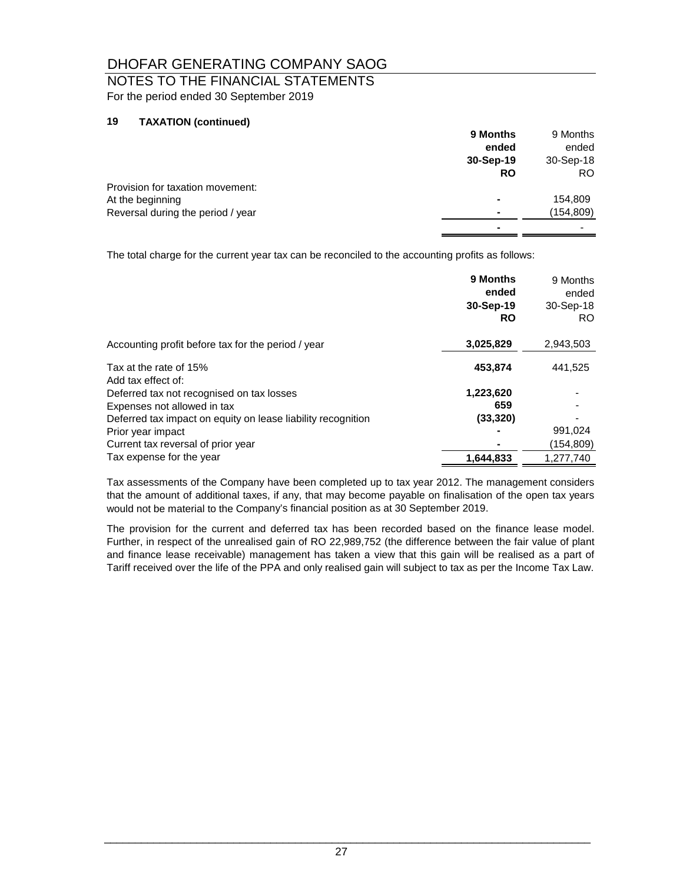# NOTES TO THE FINANCIAL STATEMENTS For the period ended 30 September 2019

### **19 TAXATION (continued)**

|                                   | 9 Months                 | 9 Months  |
|-----------------------------------|--------------------------|-----------|
|                                   | ended                    | ended     |
|                                   | 30-Sep-19                | 30-Sep-18 |
|                                   | <b>RO</b>                | RO.       |
| Provision for taxation movement:  |                          |           |
| At the beginning                  | ۰                        | 154,809   |
| Reversal during the period / year | $\overline{\phantom{0}}$ | (154,809) |
|                                   |                          |           |

The total charge for the current year tax can be reconciled to the accounting profits as follows:

|                                                                                             | 9 Months<br>ended<br>30-Sep-19<br><b>RO</b> | 9 Months<br>ended<br>30-Sep-18<br>RO. |
|---------------------------------------------------------------------------------------------|---------------------------------------------|---------------------------------------|
| Accounting profit before tax for the period / year                                          | 3,025,829                                   | 2,943,503                             |
| Tax at the rate of 15%                                                                      | 453,874                                     | 441,525                               |
| Add tax effect of:<br>Deferred tax not recognised on tax losses                             | 1,223,620                                   |                                       |
| Expenses not allowed in tax<br>Deferred tax impact on equity on lease liability recognition | 659<br>(33, 320)                            |                                       |
| Prior year impact<br>Current tax reversal of prior year                                     |                                             | 991,024<br>(154,809)                  |
| Tax expense for the year                                                                    | 1.644.833                                   | 1.277.740                             |

Tax assessments of the Company have been completed up to tax year 2012. The management considers that the amount of additional taxes, if any, that may become payable on finalisation of the open tax years would not be material to the Company's financial position as at 30 September 2019.

The provision for the current and deferred tax has been recorded based on the finance lease model. Further, in respect of the unrealised gain of RO 22,989,752 (the difference between the fair value of plant and finance lease receivable) management has taken a view that this gain will be realised as a part of Tariff received over the life of the PPA and only realised gain will subject to tax as per the Income Tax Law.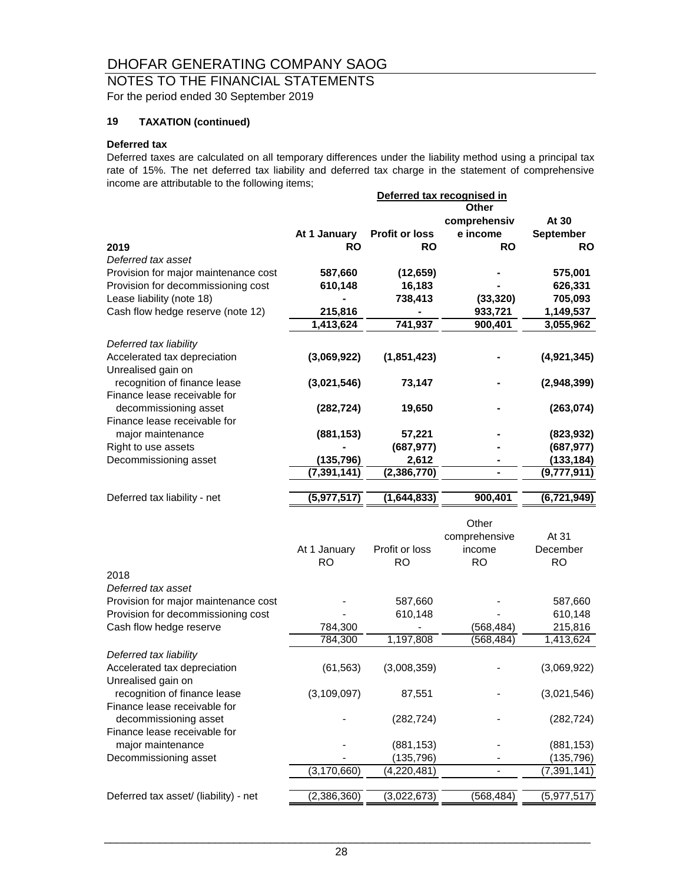# NOTES TO THE FINANCIAL STATEMENTS For the period ended 30 September 2019

### **19 TAXATION (continued)**

#### **Deferred tax**

Deferred taxes are calculated on all temporary differences under the liability method using a principal tax rate of 15%. The net deferred tax liability and deferred tax charge in the statement of comprehensive income are attributable to the following items;

|                                                    |               |                       | Deferred tax recognised in<br>Other |               |
|----------------------------------------------------|---------------|-----------------------|-------------------------------------|---------------|
|                                                    |               |                       | comprehensiv                        | At 30         |
|                                                    | At 1 January  | <b>Profit or loss</b> | e income                            | September     |
| 2019                                               | <b>RO</b>     | RO                    | RO                                  | <b>RO</b>     |
| Deferred tax asset                                 |               |                       |                                     |               |
| Provision for major maintenance cost               | 587,660       | (12, 659)             |                                     | 575,001       |
| Provision for decommissioning cost                 | 610,148       | 16,183                |                                     | 626,331       |
| Lease liability (note 18)                          |               | 738,413               | (33, 320)                           | 705,093       |
| Cash flow hedge reserve (note 12)                  | 215,816       |                       | 933,721                             | 1,149,537     |
|                                                    | 1,413,624     | 741,937               | 900,401                             | 3,055,962     |
|                                                    |               |                       |                                     |               |
| Deferred tax liability                             |               |                       |                                     |               |
| Accelerated tax depreciation<br>Unrealised gain on | (3,069,922)   | (1,851,423)           |                                     | (4,921,345)   |
| recognition of finance lease                       |               | 73,147                |                                     |               |
| Finance lease receivable for                       | (3,021,546)   |                       |                                     | (2,948,399)   |
| decommissioning asset                              | (282, 724)    | 19,650                |                                     | (263, 074)    |
| Finance lease receivable for                       |               |                       |                                     |               |
| major maintenance                                  | (881, 153)    | 57,221                |                                     | (823, 932)    |
| Right to use assets                                |               | (687, 977)            |                                     | (687, 977)    |
| Decommissioning asset                              | (135, 796)    | 2,612                 |                                     | (133, 184)    |
|                                                    | (7, 391, 141) | (2, 386, 770)         |                                     | (9,777,911)   |
|                                                    |               |                       |                                     |               |
| Deferred tax liability - net                       | (5,977,517)   | (1,644,833)           | 900,401                             | (6, 721, 949) |
|                                                    |               |                       |                                     |               |
|                                                    |               |                       | Other                               |               |
|                                                    |               |                       | comprehensive                       | At 31         |
|                                                    | At 1 January  | Profit or loss        | income                              | December      |
|                                                    | <b>RO</b>     | <b>RO</b>             | <b>RO</b>                           | <b>RO</b>     |
| 2018                                               |               |                       |                                     |               |
| Deferred tax asset                                 |               |                       |                                     |               |
| Provision for major maintenance cost               |               | 587,660               |                                     | 587,660       |
| Provision for decommissioning cost                 |               | 610,148               |                                     | 610,148       |
| Cash flow hedge reserve                            | 784,300       |                       | (568, 484)                          | 215,816       |
|                                                    | 784,300       | 1,197,808             | (568, 484)                          | 1,413,624     |
| Deferred tax liability                             |               |                       |                                     |               |
| Accelerated tax depreciation                       | (61, 563)     | (3,008,359)           |                                     | (3,069,922)   |
| Unrealised gain on                                 |               |                       |                                     |               |
| recognition of finance lease                       | (3, 109, 097) | 87,551                |                                     | (3,021,546)   |
| Finance lease receivable for                       |               |                       |                                     |               |
| decommissioning asset                              |               | (282, 724)            |                                     | (282, 724)    |
| Finance lease receivable for                       |               |                       |                                     |               |
| major maintenance                                  |               | (881, 153)            |                                     | (881, 153)    |
| Decommissioning asset                              |               | (135, 796)            |                                     | (135, 796)    |

 $(3,170,660)$   $(4,220,481)$   $(7,391,141)$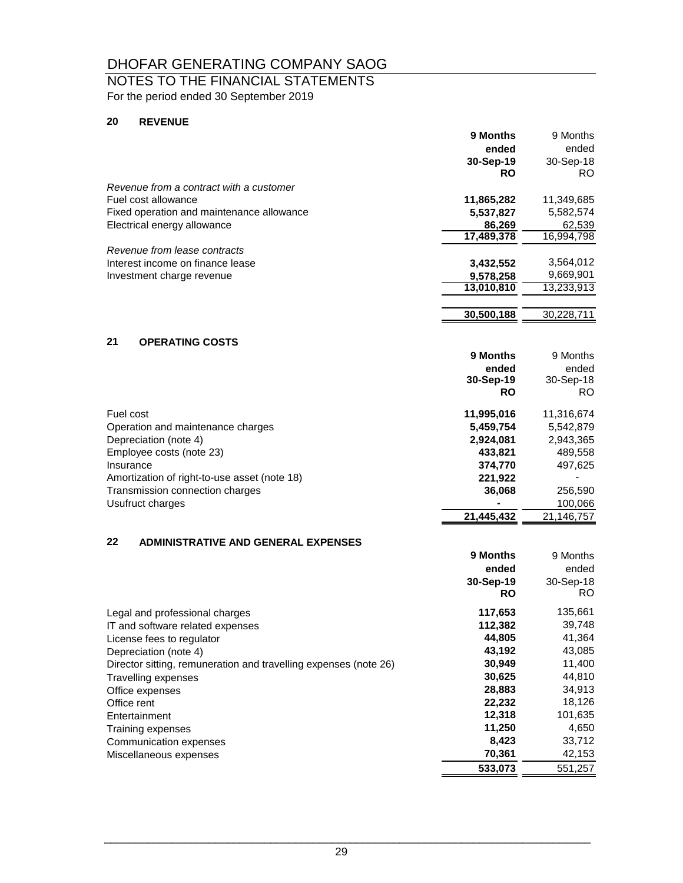# NOTES TO THE FINANCIAL STATEMENTS For the period ended 30 September 2019

#### **20 REVENUE**

|                                                  | 9 Months   | 9 Months   |
|--------------------------------------------------|------------|------------|
|                                                  | ended      | ended      |
|                                                  | 30-Sep-19  | 30-Sep-18  |
|                                                  | <b>RO</b>  | RO.        |
| Revenue from a contract with a customer          |            |            |
| Fuel cost allowance                              | 11,865,282 | 11,349,685 |
| Fixed operation and maintenance allowance        | 5,537,827  | 5,582,574  |
| Electrical energy allowance                      | 86,269     | 62,539     |
|                                                  | 17,489,378 | 16,994,798 |
| Revenue from lease contracts                     |            |            |
| Interest income on finance lease                 | 3,432,552  | 3,564,012  |
| Investment charge revenue                        | 9,578,258  | 9,669,901  |
|                                                  | 13,010,810 | 13,233,913 |
|                                                  |            |            |
|                                                  | 30,500,188 | 30,228,711 |
|                                                  |            |            |
| 21<br><b>OPERATING COSTS</b>                     |            |            |
|                                                  | 9 Months   | 9 Months   |
|                                                  | ended      | ended      |
|                                                  | 30-Sep-19  | 30-Sep-18  |
|                                                  | <b>RO</b>  | RO.        |
| Fuel cost                                        | 11,995,016 | 11,316,674 |
| Operation and maintenance charges                | 5,459,754  | 5,542,879  |
| Depreciation (note 4)                            | 2,924,081  | 2,943,365  |
| Employee costs (note 23)                         | 433,821    | 489,558    |
| Insurance                                        | 374,770    | 497,625    |
| Amortization of right-to-use asset (note 18)     | 221,922    |            |
| Transmission connection charges                  | 36,068     | 256,590    |
| Usufruct charges                                 |            | 100,066    |
|                                                  | 21,445,432 | 21,146,757 |
|                                                  |            |            |
| 22<br><b>ADMINISTRATIVE AND GENERAL EXPENSES</b> |            |            |
|                                                  | 9 Months   | 9 Months   |
|                                                  | ended      | ended      |
|                                                  | 30-Sep-19  | 30-Sep-18  |
|                                                  |            |            |

|                                                                  | 30-960-19<br><b>RO</b> | 30-SED-18<br>RO. |
|------------------------------------------------------------------|------------------------|------------------|
| Legal and professional charges                                   | 117,653                | 135,661          |
| IT and software related expenses                                 | 112,382                | 39,748           |
| License fees to regulator                                        | 44.805                 | 41,364           |
| Depreciation (note 4)                                            | 43.192                 | 43,085           |
| Director sitting, remuneration and travelling expenses (note 26) | 30,949                 | 11,400           |
| <b>Travelling expenses</b>                                       | 30.625                 | 44.810           |
| Office expenses                                                  | 28.883                 | 34,913           |
| Office rent                                                      | 22,232                 | 18,126           |
| Entertainment                                                    | 12,318                 | 101,635          |
| Training expenses                                                | 11,250                 | 4,650            |
| Communication expenses                                           | 8.423                  | 33,712           |
| Miscellaneous expenses                                           | 70,361                 | 42,153           |
|                                                                  | 533.073                | 551.257          |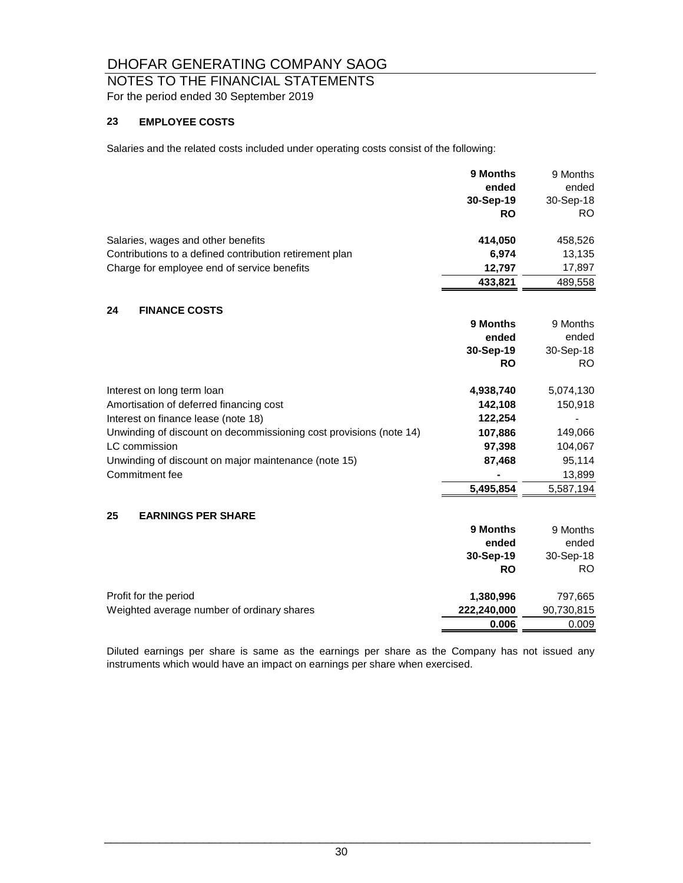# NOTES TO THE FINANCIAL STATEMENTS For the period ended 30 September 2019

### **23 EMPLOYEE COSTS**

Salaries and the related costs included under operating costs consist of the following:

|                                                                    | 9 Months    | 9 Months   |
|--------------------------------------------------------------------|-------------|------------|
|                                                                    | ended       | ended      |
|                                                                    | 30-Sep-19   | 30-Sep-18  |
|                                                                    | <b>RO</b>   | RO.        |
| Salaries, wages and other benefits                                 | 414,050     | 458,526    |
| Contributions to a defined contribution retirement plan            | 6,974       | 13,135     |
| Charge for employee end of service benefits                        | 12,797      | 17,897     |
|                                                                    | 433,821     | 489,558    |
| 24<br><b>FINANCE COSTS</b>                                         |             |            |
|                                                                    | 9 Months    | 9 Months   |
|                                                                    | ended       | ended      |
|                                                                    | 30-Sep-19   | 30-Sep-18  |
|                                                                    | <b>RO</b>   | RO.        |
| Interest on long term loan                                         | 4,938,740   | 5,074,130  |
| Amortisation of deferred financing cost                            | 142,108     | 150,918    |
| Interest on finance lease (note 18)                                | 122,254     |            |
| Unwinding of discount on decommissioning cost provisions (note 14) | 107,886     | 149,066    |
| LC commission                                                      | 97,398      | 104,067    |
| Unwinding of discount on major maintenance (note 15)               | 87,468      | 95,114     |
| Commitment fee                                                     |             | 13,899     |
|                                                                    | 5,495,854   | 5,587,194  |
| 25<br><b>EARNINGS PER SHARE</b>                                    |             |            |
|                                                                    | 9 Months    | 9 Months   |
|                                                                    | ended       | ended      |
|                                                                    | 30-Sep-19   | 30-Sep-18  |
|                                                                    | <b>RO</b>   | RO.        |
| Profit for the period                                              | 1,380,996   | 797,665    |
| Weighted average number of ordinary shares                         | 222,240,000 | 90,730,815 |
|                                                                    | 0.006       | 0.009      |

Diluted earnings per share is same as the earnings per share as the Company has not issued any instruments which would have an impact on earnings per share when exercised.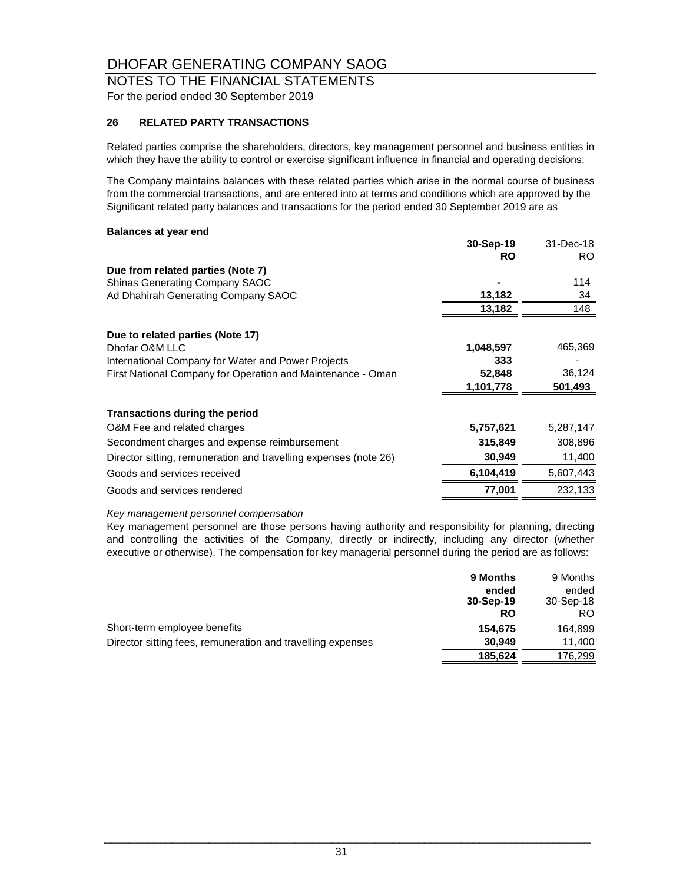### NOTES TO THE FINANCIAL STATEMENTS For the period ended 30 September 2019

#### **26 RELATED PARTY TRANSACTIONS**

Related parties comprise the shareholders, directors, key management personnel and business entities in which they have the ability to control or exercise significant influence in financial and operating decisions.

The Company maintains balances with these related parties which arise in the normal course of business from the commercial transactions, and are entered into at terms and conditions which are approved by the Significant related party balances and transactions for the period ended 30 September 2019 are as

#### **Balances at year end**

|                                                                  | 30-Sep-19 | 31-Dec-18 |
|------------------------------------------------------------------|-----------|-----------|
|                                                                  | <b>RO</b> | RO.       |
| Due from related parties (Note 7)                                |           |           |
| <b>Shinas Generating Company SAOC</b>                            |           | 114       |
| Ad Dhahirah Generating Company SAOC                              | 13,182    | 34        |
|                                                                  | 13,182    | 148       |
| Due to related parties (Note 17)                                 |           |           |
| Dhofar O&M LLC                                                   | 1,048,597 | 465,369   |
| International Company for Water and Power Projects               | 333       |           |
| First National Company for Operation and Maintenance - Oman      | 52,848    | 36,124    |
|                                                                  | 1,101,778 | 501,493   |
| <b>Transactions during the period</b>                            |           |           |
| O&M Fee and related charges                                      | 5,757,621 | 5,287,147 |
| Secondment charges and expense reimbursement                     | 315,849   | 308,896   |
| Director sitting, remuneration and travelling expenses (note 26) | 30,949    | 11,400    |
| Goods and services received                                      | 6,104,419 | 5,607,443 |
| Goods and services rendered                                      | 77,001    | 232,133   |

#### *Key management personnel compensation*

Key management personnel are those persons having authority and responsibility for planning, directing and controlling the activities of the Company, directly or indirectly, including any director (whether executive or otherwise). The compensation for key managerial personnel during the period are as follows:

|                                                             | 9 Months           | 9 Months           |
|-------------------------------------------------------------|--------------------|--------------------|
|                                                             | ended<br>30-Sep-19 | ended<br>30-Sep-18 |
|                                                             | <b>RO</b>          | RO.                |
| Short-term employee benefits                                | 154.675            | 164,899            |
| Director sitting fees, remuneration and travelling expenses | 30.949             | 11.400             |
|                                                             | 185.624            | 176.299            |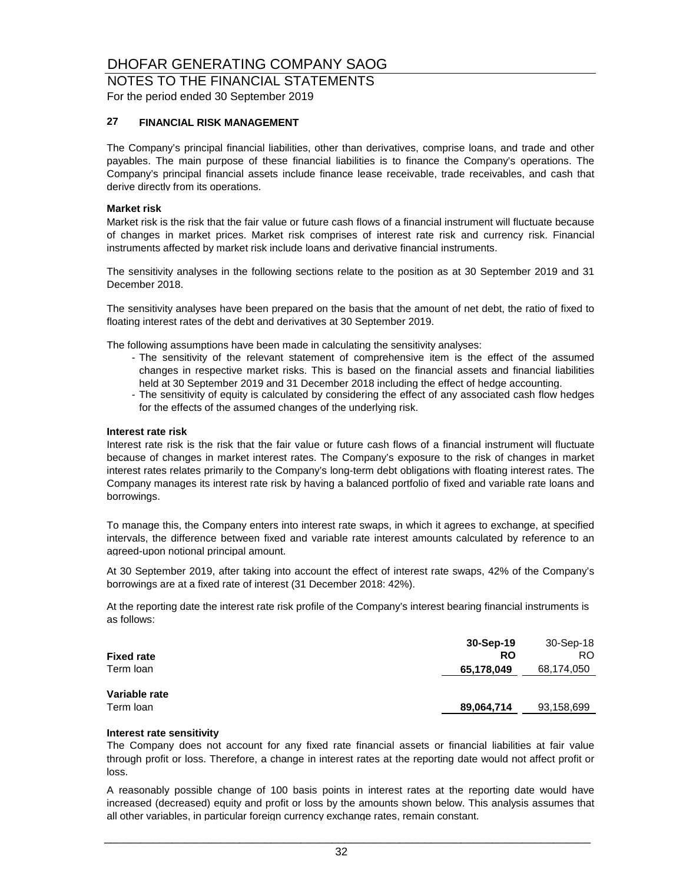### NOTES TO THE FINANCIAL STATEMENTS For the period ended 30 September 2019

#### **27 FINANCIAL RISK MANAGEMENT**

The Company's principal financial liabilities, other than derivatives, comprise loans, and trade and other payables. The main purpose of these financial liabilities is to finance the Company's operations. The Company's principal financial assets include finance lease receivable, trade receivables, and cash that derive directly from its operations.

#### **Market risk**

Market risk is the risk that the fair value or future cash flows of a financial instrument will fluctuate because of changes in market prices. Market risk comprises of interest rate risk and currency risk. Financial instruments affected by market risk include loans and derivative financial instruments.

The sensitivity analyses in the following sections relate to the position as at 30 September 2019 and 31 December 2018.

The sensitivity analyses have been prepared on the basis that the amount of net debt, the ratio of fixed to floating interest rates of the debt and derivatives at 30 September 2019.

The following assumptions have been made in calculating the sensitivity analyses:

- The sensitivity of the relevant statement of comprehensive item is the effect of the assumed changes in respective market risks. This is based on the financial assets and financial liabilities held at 30 September 2019 and 31 December 2018 including the effect of hedge accounting.
- The sensitivity of equity is calculated by considering the effect of any associated cash flow hedges for the effects of the assumed changes of the underlying risk.

#### **Interest rate risk**

Interest rate risk is the risk that the fair value or future cash flows of a financial instrument will fluctuate because of changes in market interest rates. The Company's exposure to the risk of changes in market interest rates relates primarily to the Company's long-term debt obligations with floating interest rates. The Company manages its interest rate risk by having a balanced portfolio of fixed and variable rate loans and borrowings.

To manage this, the Company enters into interest rate swaps, in which it agrees to exchange, at specified intervals, the difference between fixed and variable rate interest amounts calculated by reference to an agreed-upon notional principal amount.

At 30 September 2019, after taking into account the effect of interest rate swaps, 42% of the Company's borrowings are at a fixed rate of interest (31 December 2018: 42%).

At the reporting date the interest rate risk profile of the Company's interest bearing financial instruments is as follows:

| <b>Fixed rate</b> | 30-Sep-19<br><b>RO</b> | 30-Sep-18<br>RO. |
|-------------------|------------------------|------------------|
| Term loan         | 65,178,049             | 68,174,050       |
| Variable rate     |                        |                  |
| Term loan         | 89,064,714             | 93,158,699       |

#### **Interest rate sensitivity**

The Company does not account for any fixed rate financial assets or financial liabilities at fair value through profit or loss. Therefore, a change in interest rates at the reporting date would not affect profit or loss.

A reasonably possible change of 100 basis points in interest rates at the reporting date would have increased (decreased) equity and profit or loss by the amounts shown below. This analysis assumes that all other variables, in particular foreign currency exchange rates, remain constant.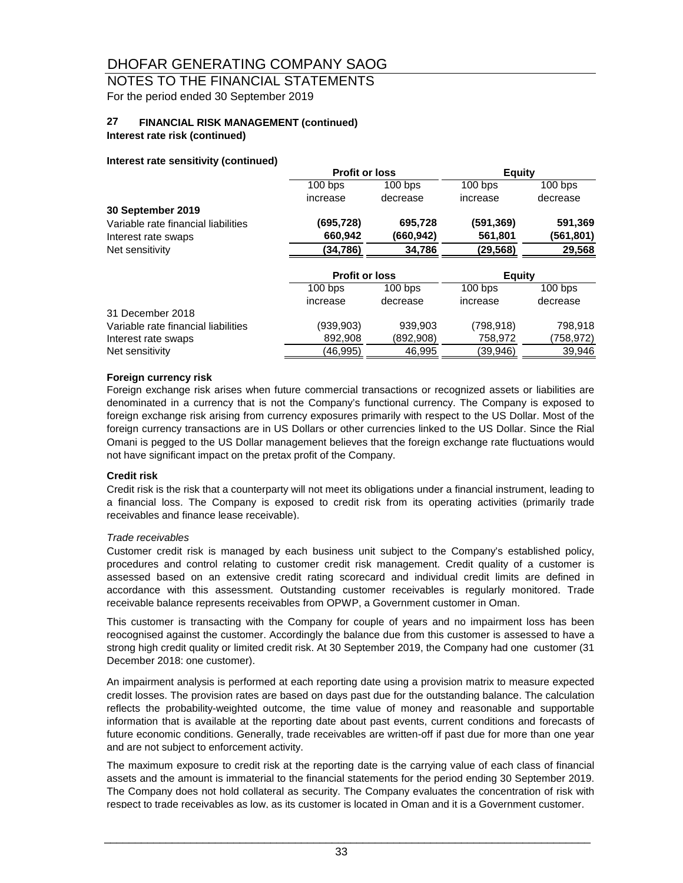# NOTES TO THE FINANCIAL STATEMENTS For the period ended 30 September 2019

#### **27 FINANCIAL RISK MANAGEMENT (continued)**

#### **Interest rate risk (continued)**

#### **Interest rate sensitivity (continued)**

|                                     | <b>Profit or loss</b> |           | Equity               |           |
|-------------------------------------|-----------------------|-----------|----------------------|-----------|
|                                     | $100$ bps             | $100$ bps | $100$ bps            | $100$ bps |
|                                     | increase              | decrease  | increase             | decrease  |
| 30 September 2019                   |                       |           |                      |           |
| Variable rate financial liabilities | (695.728)             | 695,728   | (591,369)            | 591,369   |
| Interest rate swaps                 | 660,942               | (660,942) | 561,801              | (561,801) |
| Net sensitivity                     | (34, 786)             | 34,786    | (29,568)             | 29,568    |
|                                     | <b>Profit or loss</b> |           | <b>Equity</b>        |           |
|                                     | $100$ bps             | $100$ bps | $\overline{100}$ bps | $100$ bps |
|                                     | increase              | decrease  | increase             | decrease  |
| 31 December 2018                    |                       |           |                      |           |
| Variable rate financial liabilities | (939,903)             | 939,903   | (798,918)            | 798,918   |
| Interest rate swaps                 | 892,908               | (892,908) | 758,972              | (758,972) |
| Net sensitivity                     | (46,995)              | 46,995    | (39,946)             | 39,946    |

#### **Foreign currency risk**

Foreign exchange risk arises when future commercial transactions or recognized assets or liabilities are denominated in a currency that is not the Company's functional currency. The Company is exposed to foreign exchange risk arising from currency exposures primarily with respect to the US Dollar. Most of the foreign currency transactions are in US Dollars or other currencies linked to the US Dollar. Since the Rial Omani is pegged to the US Dollar management believes that the foreign exchange rate fluctuations would not have significant impact on the pretax profit of the Company.

#### **Credit risk**

Credit risk is the risk that a counterparty will not meet its obligations under a financial instrument, leading to a financial loss. The Company is exposed to credit risk from its operating activities (primarily trade receivables and finance lease receivable).

#### *Trade receivables*

Customer credit risk is managed by each business unit subject to the Company's established policy, procedures and control relating to customer credit risk management. Credit quality of a customer is assessed based on an extensive credit rating scorecard and individual credit limits are defined in accordance with this assessment. Outstanding customer receivables is regularly monitored. Trade receivable balance represents receivables from OPWP, a Government customer in Oman.

This customer is transacting with the Company for couple of years and no impairment loss has been reocognised against the customer. Accordingly the balance due from this customer is assessed to have a strong high credit quality or limited credit risk. At 30 September 2019, the Company had one customer (31 December 2018: one customer).

An impairment analysis is performed at each reporting date using a provision matrix to measure expected credit losses. The provision rates are based on days past due for the outstanding balance. The calculation reflects the probability-weighted outcome, the time value of money and reasonable and supportable information that is available at the reporting date about past events, current conditions and forecasts of future economic conditions. Generally, trade receivables are written-off if past due for more than one year and are not subject to enforcement activity.

The maximum exposure to credit risk at the reporting date is the carrying value of each class of financial assets and the amount is immaterial to the financial statements for the period ending 30 September 2019. The Company does not hold collateral as security. The Company evaluates the concentration of risk with respect to trade receivables as low, as its customer is located in Oman and it is a Government customer.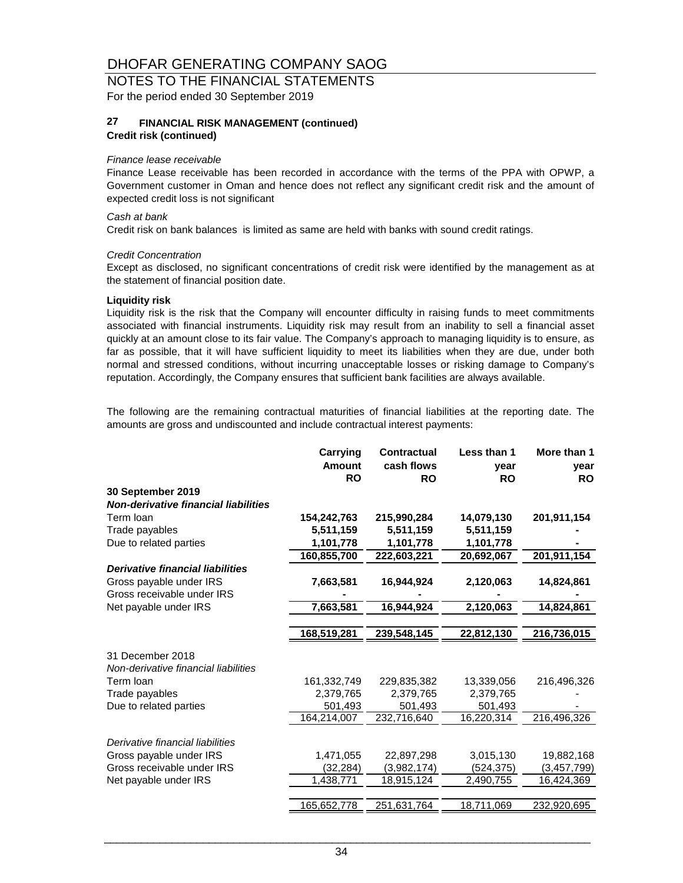### NOTES TO THE FINANCIAL STATEMENTS For the period ended 30 September 2019

#### **27 Credit risk (continued) FINANCIAL RISK MANAGEMENT (continued)**

#### *Finance lease receivable*

Finance Lease receivable has been recorded in accordance with the terms of the PPA with OPWP, a Government customer in Oman and hence does not reflect any significant credit risk and the amount of expected credit loss is not significant

#### *Cash at bank*

Credit risk on bank balances is limited as same are held with banks with sound credit ratings.

#### *Credit Concentration*

Except as disclosed, no significant concentrations of credit risk were identified by the management as at the statement of financial position date.

#### **Liquidity risk**

Liquidity risk is the risk that the Company will encounter difficulty in raising funds to meet commitments associated with financial instruments. Liquidity risk may result from an inability to sell a financial asset quickly at an amount close to its fair value. The Company's approach to managing liquidity is to ensure, as far as possible, that it will have sufficient liquidity to meet its liabilities when they are due, under both normal and stressed conditions, without incurring unacceptable losses or risking damage to Company's reputation. Accordingly, the Company ensures that sufficient bank facilities are always available.

The following are the remaining contractual maturities of financial liabilities at the reporting date. The amounts are gross and undiscounted and include contractual interest payments:

|                                             | Carrying<br><b>Amount</b><br><b>RO</b> | <b>Contractual</b><br>cash flows<br><b>RO</b> | Less than 1<br>vear<br><b>RO</b> | More than 1<br>year<br><b>RO</b> |
|---------------------------------------------|----------------------------------------|-----------------------------------------------|----------------------------------|----------------------------------|
| 30 September 2019                           |                                        |                                               |                                  |                                  |
| <b>Non-derivative financial liabilities</b> |                                        |                                               |                                  |                                  |
| Term Ioan                                   | 154,242,763                            | 215,990,284                                   | 14,079,130                       | 201,911,154                      |
| Trade payables                              | 5,511,159                              | 5,511,159                                     | 5,511,159                        |                                  |
| Due to related parties                      | 1,101,778                              | 1,101,778                                     | 1,101,778                        |                                  |
|                                             | 160,855,700                            | 222,603,221                                   | 20,692,067                       | 201,911,154                      |
| <b>Derivative financial liabilities</b>     |                                        |                                               |                                  |                                  |
| Gross payable under IRS                     | 7,663,581                              | 16,944,924                                    | 2,120,063                        | 14,824,861                       |
| Gross receivable under IRS                  |                                        |                                               |                                  |                                  |
| Net payable under IRS                       | 7,663,581                              | 16,944,924                                    | 2,120,063                        | 14,824,861                       |
|                                             |                                        |                                               |                                  |                                  |
|                                             | 168,519,281                            | 239,548,145                                   | 22,812,130                       | 216,736,015                      |
| 31 December 2018                            |                                        |                                               |                                  |                                  |
| Non-derivative financial liabilities        |                                        |                                               |                                  |                                  |
| Term Ioan                                   | 161,332,749                            | 229,835,382                                   | 13,339,056                       | 216,496,326                      |
| Trade payables                              | 2,379,765                              | 2,379,765                                     | 2,379,765                        |                                  |
| Due to related parties                      | 501,493                                | 501,493                                       | 501,493                          |                                  |
|                                             | 164,214,007                            | 232,716,640                                   | 16,220,314                       | 216,496,326                      |
| Derivative financial liabilities            |                                        |                                               |                                  |                                  |
| Gross payable under IRS                     | 1.471.055                              | 22,897,298                                    | 3,015,130                        | 19,882,168                       |
| Gross receivable under IRS                  | (32, 284)                              | (3,982,174)                                   | (524, 375)                       | (3, 457, 799)                    |
| Net payable under IRS                       | 1,438,771                              | 18,915,124                                    | 2,490,755                        | 16,424,369                       |
|                                             |                                        |                                               |                                  |                                  |
|                                             | 165,652,778                            | 251,631,764                                   | 18,711,069                       | 232,920,695                      |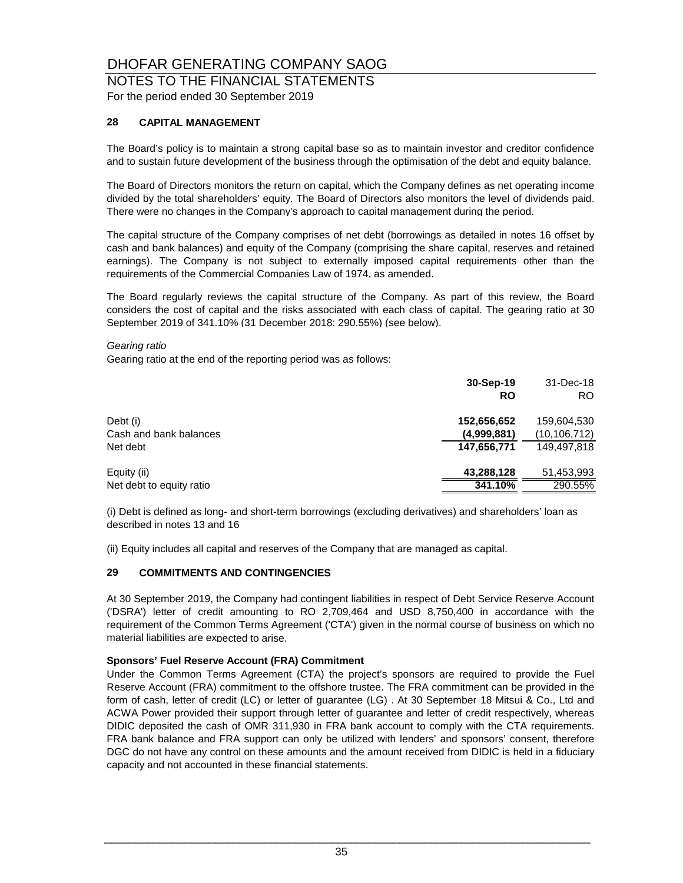### NOTES TO THE FINANCIAL STATEMENTS For the period ended 30 September 2019

### **28 CAPITAL MANAGEMENT**

The Board's policy is to maintain a strong capital base so as to maintain investor and creditor confidence and to sustain future development of the business through the optimisation of the debt and equity balance.

The Board of Directors monitors the return on capital, which the Company defines as net operating income divided by the total shareholders' equity. The Board of Directors also monitors the level of dividends paid. There were no changes in the Company's approach to capital management during the period.

The capital structure of the Company comprises of net debt (borrowings as detailed in notes 16 offset by cash and bank balances) and equity of the Company (comprising the share capital, reserves and retained earnings). The Company is not subject to externally imposed capital requirements other than the requirements of the Commercial Companies Law of 1974, as amended.

The Board regularly reviews the capital structure of the Company. As part of this review, the Board considers the cost of capital and the risks associated with each class of capital. The gearing ratio at 30 September 2019 of 341.10% (31 December 2018: 290.55%) (see below).

#### *Gearing ratio*

Gearing ratio at the end of the reporting period was as follows:

|                          | 30-Sep-19<br><b>RO</b> | 31-Dec-18<br><b>RO</b> |
|--------------------------|------------------------|------------------------|
| Debt (i)                 | 152,656,652            | 159,604,530            |
| Cash and bank balances   | (4,999,881)            | (10, 106, 712)         |
| Net debt                 | 147,656,771            | 149.497.818            |
| Equity (ii)              | 43,288,128             | 51,453,993             |
| Net debt to equity ratio | 341.10%                | 290.55%                |

(i) Debt is defined as long- and short-term borrowings (excluding derivatives) and shareholders' loan as described in notes 13 and 16

(ii) Equity includes all capital and reserves of the Company that are managed as capital.

#### **29 COMMITMENTS AND CONTINGENCIES**

At 30 September 2019, the Company had contingent liabilities in respect of Debt Service Reserve Account ('DSRA') letter of credit amounting to RO 2,709,464 and USD 8,750,400 in accordance with the requirement of the Common Terms Agreement ('CTA') given in the normal course of business on which no material liabilities are expected to arise.

#### **Sponsors' Fuel Reserve Account (FRA) Commitment**

Under the Common Terms Agreement (CTA) the project's sponsors are required to provide the Fuel Reserve Account (FRA) commitment to the offshore trustee. The FRA commitment can be provided in the form of cash, letter of credit (LC) or letter of guarantee (LG) . At 30 September 18 Mitsui & Co., Ltd and ACWA Power provided their support through letter of guarantee and letter of credit respectively, whereas DIDIC deposited the cash of OMR 311,930 in FRA bank account to comply with the CTA requirements. FRA bank balance and FRA support can only be utilized with lenders' and sponsors' consent, therefore DGC do not have any control on these amounts and the amount received from DIDIC is held in a fiduciary capacity and not accounted in these financial statements.